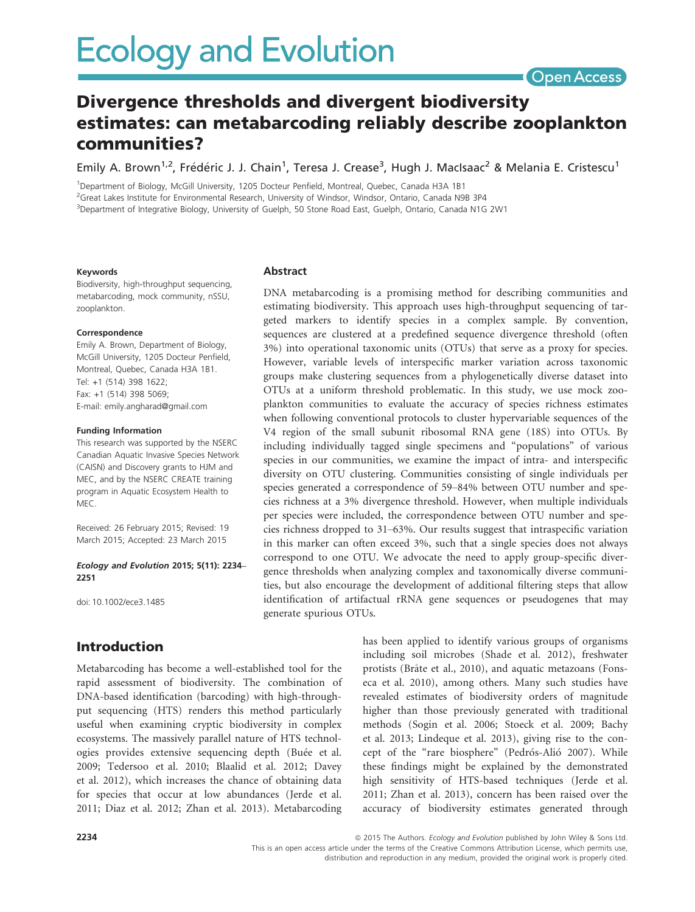# **Ecology and Evolution**

## **Open Access**

## Divergence thresholds and divergent biodiversity estimates: can metabarcoding reliably describe zooplankton communities?

Emily A. Brown<sup>1,2</sup>, Frédéric J. J. Chain<sup>1</sup>, Teresa J. Crease<sup>3</sup>, Hugh J. MacIsaac<sup>2</sup> & Melania E. Cristescu<sup>1</sup>

<sup>1</sup>Department of Biology, McGill University, 1205 Docteur Penfield, Montreal, Quebec, Canada H3A 1B1 <sup>2</sup>Great Lakes Institute for Environmental Research, University of Windsor, Windsor, Ontario, Canada N9B 3P4 3 Department of Integrative Biology, University of Guelph, 50 Stone Road East, Guelph, Ontario, Canada N1G 2W1

#### Keywords

Biodiversity, high-throughput sequencing, metabarcoding, mock community, nSSU, zooplankton.

#### Correspondence

Emily A. Brown, Department of Biology, McGill University, 1205 Docteur Penfield, Montreal, Quebec, Canada H3A 1B1. Tel: +1 (514) 398 1622; Fax: +1 (514) 398 5069; E-mail: emily.angharad@gmail.com

#### Funding Information

This research was supported by the NSERC Canadian Aquatic Invasive Species Network (CAISN) and Discovery grants to HJM and MEC, and by the NSERC CREATE training program in Aquatic Ecosystem Health to MEC.

Received: 26 February 2015; Revised: 19 March 2015; Accepted: 23 March 2015

#### Ecology and Evolution 2015; 5(11): 2234– 2251

doi: 10.1002/ece3.1485

## Introduction

Metabarcoding has become a well-established tool for the rapid assessment of biodiversity. The combination of DNA-based identification (barcoding) with high-throughput sequencing (HTS) renders this method particularly useful when examining cryptic biodiversity in complex ecosystems. The massively parallel nature of HTS technologies provides extensive sequencing depth (Buée et al. 2009; Tedersoo et al. 2010; Blaalid et al. 2012; Davey et al. 2012), which increases the chance of obtaining data for species that occur at low abundances (Jerde et al. 2011; Diaz et al. 2012; Zhan et al. 2013). Metabarcoding

#### Abstract

DNA metabarcoding is a promising method for describing communities and estimating biodiversity. This approach uses high-throughput sequencing of targeted markers to identify species in a complex sample. By convention, sequences are clustered at a predefined sequence divergence threshold (often 3%) into operational taxonomic units (OTUs) that serve as a proxy for species. However, variable levels of interspecific marker variation across taxonomic groups make clustering sequences from a phylogenetically diverse dataset into OTUs at a uniform threshold problematic. In this study, we use mock zooplankton communities to evaluate the accuracy of species richness estimates when following conventional protocols to cluster hypervariable sequences of the V4 region of the small subunit ribosomal RNA gene (18S) into OTUs. By including individually tagged single specimens and "populations" of various species in our communities, we examine the impact of intra- and interspecific diversity on OTU clustering. Communities consisting of single individuals per species generated a correspondence of 59–84% between OTU number and species richness at a 3% divergence threshold. However, when multiple individuals per species were included, the correspondence between OTU number and species richness dropped to 31–63%. Our results suggest that intraspecific variation in this marker can often exceed 3%, such that a single species does not always correspond to one OTU. We advocate the need to apply group-specific divergence thresholds when analyzing complex and taxonomically diverse communities, but also encourage the development of additional filtering steps that allow identification of artifactual rRNA gene sequences or pseudogenes that may generate spurious OTUs.

> has been applied to identify various groups of organisms including soil microbes (Shade et al. 2012), freshwater protists (Brate et al., 2010), and aquatic metazoans (Fonseca et al. 2010), among others. Many such studies have revealed estimates of biodiversity orders of magnitude higher than those previously generated with traditional methods (Sogin et al. 2006; Stoeck et al. 2009; Bachy et al. 2013; Lindeque et al. 2013), giving rise to the concept of the "rare biosphere" (Pedrós-Alió 2007). While these findings might be explained by the demonstrated high sensitivity of HTS-based techniques (Jerde et al. 2011; Zhan et al. 2013), concern has been raised over the accuracy of biodiversity estimates generated through

2234 **2234 2015** The Authors. *Ecology and Evolution published by John Wiley & Sons Ltd.* 

This is an open access article under the terms of the Creative Commons Attribution License, which permits use, distribution and reproduction in any medium, provided the original work is properly cited.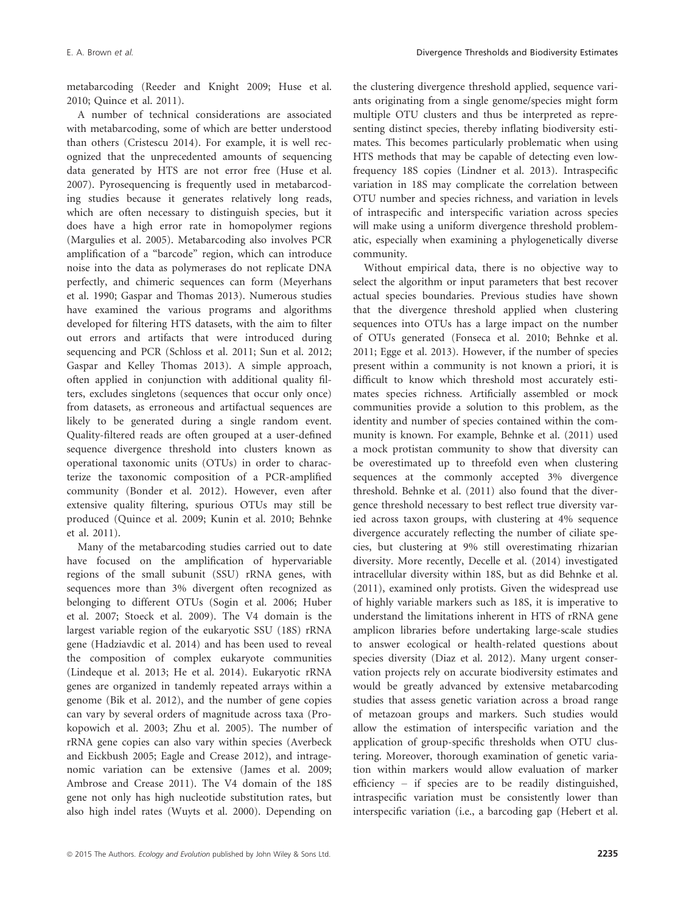metabarcoding (Reeder and Knight 2009; Huse et al. 2010; Quince et al. 2011).

A number of technical considerations are associated with metabarcoding, some of which are better understood than others (Cristescu 2014). For example, it is well recognized that the unprecedented amounts of sequencing data generated by HTS are not error free (Huse et al. 2007). Pyrosequencing is frequently used in metabarcoding studies because it generates relatively long reads, which are often necessary to distinguish species, but it does have a high error rate in homopolymer regions (Margulies et al. 2005). Metabarcoding also involves PCR amplification of a "barcode" region, which can introduce noise into the data as polymerases do not replicate DNA perfectly, and chimeric sequences can form (Meyerhans et al. 1990; Gaspar and Thomas 2013). Numerous studies have examined the various programs and algorithms developed for filtering HTS datasets, with the aim to filter out errors and artifacts that were introduced during sequencing and PCR (Schloss et al. 2011; Sun et al. 2012; Gaspar and Kelley Thomas 2013). A simple approach, often applied in conjunction with additional quality filters, excludes singletons (sequences that occur only once) from datasets, as erroneous and artifactual sequences are likely to be generated during a single random event. Quality-filtered reads are often grouped at a user-defined sequence divergence threshold into clusters known as operational taxonomic units (OTUs) in order to characterize the taxonomic composition of a PCR-amplified community (Bonder et al. 2012). However, even after extensive quality filtering, spurious OTUs may still be produced (Quince et al. 2009; Kunin et al. 2010; Behnke et al. 2011).

Many of the metabarcoding studies carried out to date have focused on the amplification of hypervariable regions of the small subunit (SSU) rRNA genes, with sequences more than 3% divergent often recognized as belonging to different OTUs (Sogin et al. 2006; Huber et al. 2007; Stoeck et al. 2009). The V4 domain is the largest variable region of the eukaryotic SSU (18S) rRNA gene (Hadziavdic et al. 2014) and has been used to reveal the composition of complex eukaryote communities (Lindeque et al. 2013; He et al. 2014). Eukaryotic rRNA genes are organized in tandemly repeated arrays within a genome (Bik et al. 2012), and the number of gene copies can vary by several orders of magnitude across taxa (Prokopowich et al. 2003; Zhu et al. 2005). The number of rRNA gene copies can also vary within species (Averbeck and Eickbush 2005; Eagle and Crease 2012), and intragenomic variation can be extensive (James et al. 2009; Ambrose and Crease 2011). The V4 domain of the 18S gene not only has high nucleotide substitution rates, but also high indel rates (Wuyts et al. 2000). Depending on the clustering divergence threshold applied, sequence variants originating from a single genome/species might form multiple OTU clusters and thus be interpreted as representing distinct species, thereby inflating biodiversity estimates. This becomes particularly problematic when using HTS methods that may be capable of detecting even lowfrequency 18S copies (Lindner et al. 2013). Intraspecific variation in 18S may complicate the correlation between OTU number and species richness, and variation in levels of intraspecific and interspecific variation across species will make using a uniform divergence threshold problematic, especially when examining a phylogenetically diverse community.

Without empirical data, there is no objective way to select the algorithm or input parameters that best recover actual species boundaries. Previous studies have shown that the divergence threshold applied when clustering sequences into OTUs has a large impact on the number of OTUs generated (Fonseca et al. 2010; Behnke et al. 2011; Egge et al. 2013). However, if the number of species present within a community is not known a priori, it is difficult to know which threshold most accurately estimates species richness. Artificially assembled or mock communities provide a solution to this problem, as the identity and number of species contained within the community is known. For example, Behnke et al. (2011) used a mock protistan community to show that diversity can be overestimated up to threefold even when clustering sequences at the commonly accepted 3% divergence threshold. Behnke et al. (2011) also found that the divergence threshold necessary to best reflect true diversity varied across taxon groups, with clustering at 4% sequence divergence accurately reflecting the number of ciliate species, but clustering at 9% still overestimating rhizarian diversity. More recently, Decelle et al. (2014) investigated intracellular diversity within 18S, but as did Behnke et al. (2011), examined only protists. Given the widespread use of highly variable markers such as 18S, it is imperative to understand the limitations inherent in HTS of rRNA gene amplicon libraries before undertaking large-scale studies to answer ecological or health-related questions about species diversity (Diaz et al. 2012). Many urgent conservation projects rely on accurate biodiversity estimates and would be greatly advanced by extensive metabarcoding studies that assess genetic variation across a broad range of metazoan groups and markers. Such studies would allow the estimation of interspecific variation and the application of group-specific thresholds when OTU clustering. Moreover, thorough examination of genetic variation within markers would allow evaluation of marker efficiency – if species are to be readily distinguished, intraspecific variation must be consistently lower than interspecific variation (i.e., a barcoding gap (Hebert et al.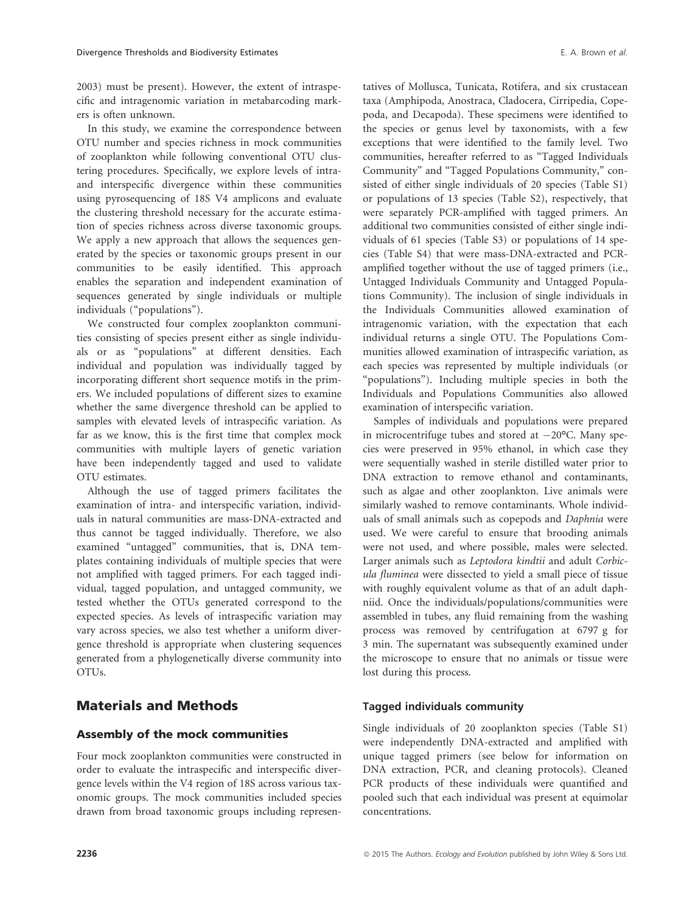2003) must be present). However, the extent of intraspecific and intragenomic variation in metabarcoding markers is often unknown.

In this study, we examine the correspondence between OTU number and species richness in mock communities of zooplankton while following conventional OTU clustering procedures. Specifically, we explore levels of intraand interspecific divergence within these communities using pyrosequencing of 18S V4 amplicons and evaluate the clustering threshold necessary for the accurate estimation of species richness across diverse taxonomic groups. We apply a new approach that allows the sequences generated by the species or taxonomic groups present in our communities to be easily identified. This approach enables the separation and independent examination of sequences generated by single individuals or multiple individuals ("populations").

We constructed four complex zooplankton communities consisting of species present either as single individuals or as "populations" at different densities. Each individual and population was individually tagged by incorporating different short sequence motifs in the primers. We included populations of different sizes to examine whether the same divergence threshold can be applied to samples with elevated levels of intraspecific variation. As far as we know, this is the first time that complex mock communities with multiple layers of genetic variation have been independently tagged and used to validate OTU estimates.

Although the use of tagged primers facilitates the examination of intra- and interspecific variation, individuals in natural communities are mass-DNA-extracted and thus cannot be tagged individually. Therefore, we also examined "untagged" communities, that is, DNA templates containing individuals of multiple species that were not amplified with tagged primers. For each tagged individual, tagged population, and untagged community, we tested whether the OTUs generated correspond to the expected species. As levels of intraspecific variation may vary across species, we also test whether a uniform divergence threshold is appropriate when clustering sequences generated from a phylogenetically diverse community into OTUs.

## Materials and Methods

#### Assembly of the mock communities

Four mock zooplankton communities were constructed in order to evaluate the intraspecific and interspecific divergence levels within the V4 region of 18S across various taxonomic groups. The mock communities included species drawn from broad taxonomic groups including representatives of Mollusca, Tunicata, Rotifera, and six crustacean taxa (Amphipoda, Anostraca, Cladocera, Cirripedia, Copepoda, and Decapoda). These specimens were identified to the species or genus level by taxonomists, with a few exceptions that were identified to the family level. Two communities, hereafter referred to as "Tagged Individuals Community" and "Tagged Populations Community," consisted of either single individuals of 20 species (Table S1) or populations of 13 species (Table S2), respectively, that were separately PCR-amplified with tagged primers. An additional two communities consisted of either single individuals of 61 species (Table S3) or populations of 14 species (Table S4) that were mass-DNA-extracted and PCRamplified together without the use of tagged primers (i.e., Untagged Individuals Community and Untagged Populations Community). The inclusion of single individuals in the Individuals Communities allowed examination of intragenomic variation, with the expectation that each individual returns a single OTU. The Populations Communities allowed examination of intraspecific variation, as each species was represented by multiple individuals (or "populations"). Including multiple species in both the Individuals and Populations Communities also allowed examination of interspecific variation.

Samples of individuals and populations were prepared in microcentrifuge tubes and stored at  $-20^{\circ}$ C. Many species were preserved in 95% ethanol, in which case they were sequentially washed in sterile distilled water prior to DNA extraction to remove ethanol and contaminants, such as algae and other zooplankton. Live animals were similarly washed to remove contaminants. Whole individuals of small animals such as copepods and Daphnia were used. We were careful to ensure that brooding animals were not used, and where possible, males were selected. Larger animals such as Leptodora kindtii and adult Corbicula fluminea were dissected to yield a small piece of tissue with roughly equivalent volume as that of an adult daphniid. Once the individuals/populations/communities were assembled in tubes, any fluid remaining from the washing process was removed by centrifugation at 6797 g for 3 min. The supernatant was subsequently examined under the microscope to ensure that no animals or tissue were lost during this process.

#### Tagged individuals community

Single individuals of 20 zooplankton species (Table S1) were independently DNA-extracted and amplified with unique tagged primers (see below for information on DNA extraction, PCR, and cleaning protocols). Cleaned PCR products of these individuals were quantified and pooled such that each individual was present at equimolar concentrations.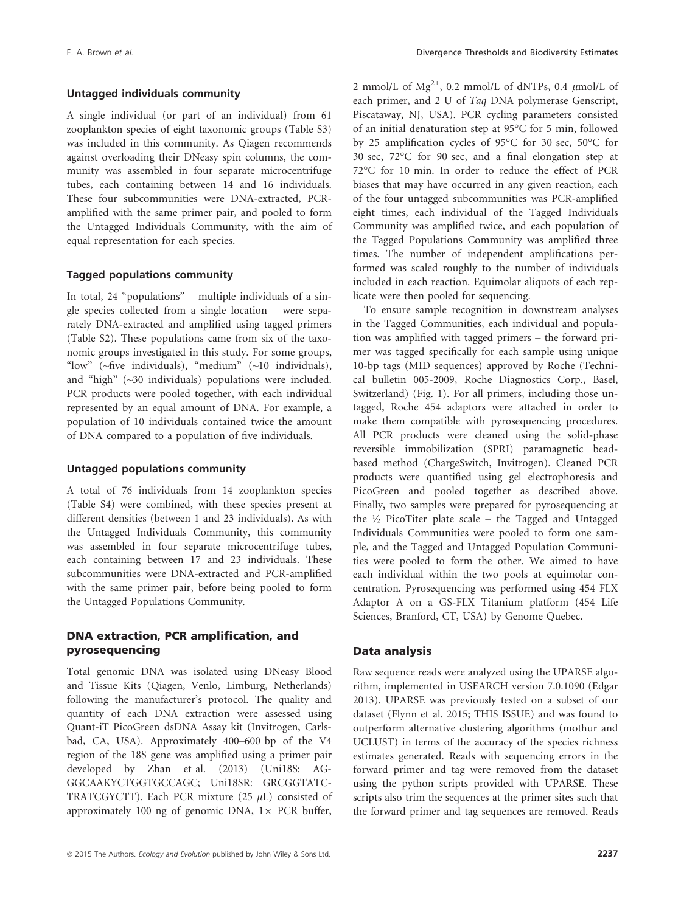#### Untagged individuals community

A single individual (or part of an individual) from 61 zooplankton species of eight taxonomic groups (Table S3) was included in this community. As Qiagen recommends against overloading their DNeasy spin columns, the community was assembled in four separate microcentrifuge tubes, each containing between 14 and 16 individuals. These four subcommunities were DNA-extracted, PCRamplified with the same primer pair, and pooled to form the Untagged Individuals Community, with the aim of equal representation for each species.

#### Tagged populations community

In total, 24 "populations" – multiple individuals of a single species collected from a single location – were separately DNA-extracted and amplified using tagged primers (Table S2). These populations came from six of the taxonomic groups investigated in this study. For some groups, "low" (~five individuals), "medium" (~10 individuals), and "high" (~30 individuals) populations were included. PCR products were pooled together, with each individual represented by an equal amount of DNA. For example, a population of 10 individuals contained twice the amount of DNA compared to a population of five individuals.

#### Untagged populations community

A total of 76 individuals from 14 zooplankton species (Table S4) were combined, with these species present at different densities (between 1 and 23 individuals). As with the Untagged Individuals Community, this community was assembled in four separate microcentrifuge tubes, each containing between 17 and 23 individuals. These subcommunities were DNA-extracted and PCR-amplified with the same primer pair, before being pooled to form the Untagged Populations Community.

#### DNA extraction, PCR amplification, and pyrosequencing

Total genomic DNA was isolated using DNeasy Blood and Tissue Kits (Qiagen, Venlo, Limburg, Netherlands) following the manufacturer's protocol. The quality and quantity of each DNA extraction were assessed using Quant-iT PicoGreen dsDNA Assay kit (Invitrogen, Carlsbad, CA, USA). Approximately 400–600 bp of the V4 region of the 18S gene was amplified using a primer pair developed by Zhan et al. (2013) (Uni18S: AG-GGCAAKYCTGGTGCCAGC; Uni18SR: GRCGGTATC-TRATCGYCTT). Each PCR mixture (25  $\mu$ L) consisted of approximately 100 ng of genomic DNA,  $1 \times$  PCR buffer, each primer, and 2 U of Taa DNA polymerase Genscript, Piscataway, NJ, USA). PCR cycling parameters consisted of an initial denaturation step at 95°C for 5 min, followed by 25 amplification cycles of 95°C for 30 sec, 50°C for 30 sec, 72°C for 90 sec, and a final elongation step at 72°C for 10 min. In order to reduce the effect of PCR biases that may have occurred in any given reaction, each of the four untagged subcommunities was PCR-amplified eight times, each individual of the Tagged Individuals Community was amplified twice, and each population of the Tagged Populations Community was amplified three times. The number of independent amplifications performed was scaled roughly to the number of individuals included in each reaction. Equimolar aliquots of each replicate were then pooled for sequencing.

2 mmol/L of Mg<sup>2+</sup>, 0.2 mmol/L of dNTPs, 0.4  $\mu$ mol/L of

To ensure sample recognition in downstream analyses in the Tagged Communities, each individual and population was amplified with tagged primers – the forward primer was tagged specifically for each sample using unique 10-bp tags (MID sequences) approved by Roche (Technical bulletin 005-2009, Roche Diagnostics Corp., Basel, Switzerland) (Fig. 1). For all primers, including those untagged, Roche 454 adaptors were attached in order to make them compatible with pyrosequencing procedures. All PCR products were cleaned using the solid-phase reversible immobilization (SPRI) paramagnetic beadbased method (ChargeSwitch, Invitrogen). Cleaned PCR products were quantified using gel electrophoresis and PicoGreen and pooled together as described above. Finally, two samples were prepared for pyrosequencing at the  $\frac{1}{2}$  PicoTiter plate scale – the Tagged and Untagged Individuals Communities were pooled to form one sample, and the Tagged and Untagged Population Communities were pooled to form the other. We aimed to have each individual within the two pools at equimolar concentration. Pyrosequencing was performed using 454 FLX Adaptor A on a GS-FLX Titanium platform (454 Life Sciences, Branford, CT, USA) by Genome Quebec.

#### Data analysis

Raw sequence reads were analyzed using the UPARSE algorithm, implemented in USEARCH version 7.0.1090 (Edgar 2013). UPARSE was previously tested on a subset of our dataset (Flynn et al. 2015; THIS ISSUE) and was found to outperform alternative clustering algorithms (mothur and UCLUST) in terms of the accuracy of the species richness estimates generated. Reads with sequencing errors in the forward primer and tag were removed from the dataset using the python scripts provided with UPARSE. These scripts also trim the sequences at the primer sites such that the forward primer and tag sequences are removed. Reads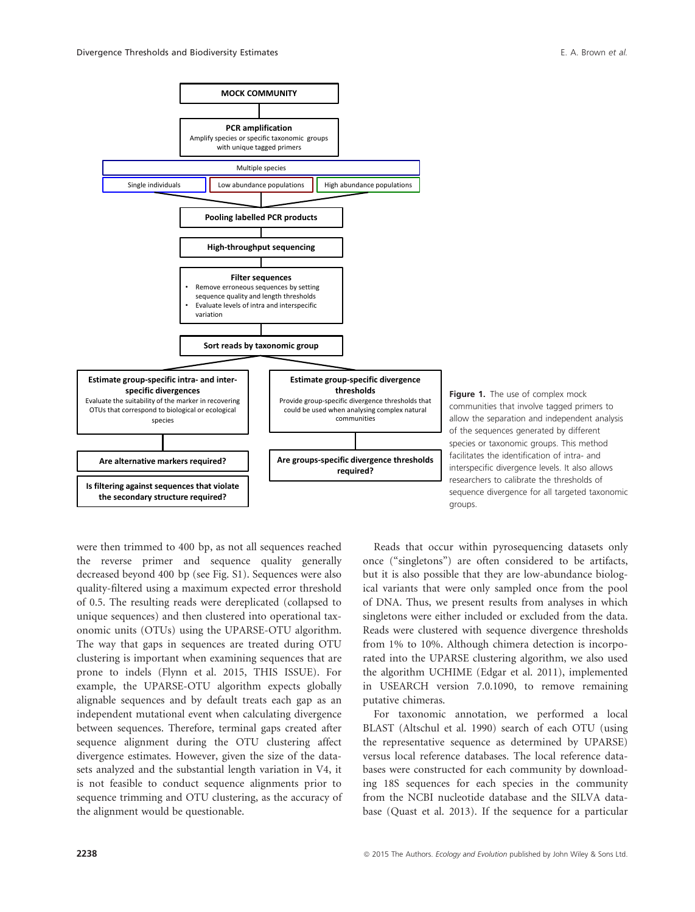

Figure 1. The use of complex mock communities that involve tagged primers to allow the separation and independent analysis of the sequences generated by different species or taxonomic groups. This method facilitates the identification of intra- and interspecific divergence levels. It also allows researchers to calibrate the thresholds of sequence divergence for all targeted taxonomic groups.

were then trimmed to 400 bp, as not all sequences reached the reverse primer and sequence quality generally decreased beyond 400 bp (see Fig. S1). Sequences were also quality-filtered using a maximum expected error threshold of 0.5. The resulting reads were dereplicated (collapsed to unique sequences) and then clustered into operational taxonomic units (OTUs) using the UPARSE-OTU algorithm. The way that gaps in sequences are treated during OTU clustering is important when examining sequences that are prone to indels (Flynn et al. 2015, THIS ISSUE). For example, the UPARSE-OTU algorithm expects globally alignable sequences and by default treats each gap as an independent mutational event when calculating divergence between sequences. Therefore, terminal gaps created after sequence alignment during the OTU clustering affect divergence estimates. However, given the size of the datasets analyzed and the substantial length variation in V4, it is not feasible to conduct sequence alignments prior to sequence trimming and OTU clustering, as the accuracy of the alignment would be questionable.

Reads that occur within pyrosequencing datasets only once ("singletons") are often considered to be artifacts, but it is also possible that they are low-abundance biological variants that were only sampled once from the pool of DNA. Thus, we present results from analyses in which singletons were either included or excluded from the data. Reads were clustered with sequence divergence thresholds from 1% to 10%. Although chimera detection is incorporated into the UPARSE clustering algorithm, we also used the algorithm UCHIME (Edgar et al. 2011), implemented in USEARCH version 7.0.1090, to remove remaining putative chimeras.

For taxonomic annotation, we performed a local BLAST (Altschul et al. 1990) search of each OTU (using the representative sequence as determined by UPARSE) versus local reference databases. The local reference databases were constructed for each community by downloading 18S sequences for each species in the community from the NCBI nucleotide database and the SILVA database (Quast et al. 2013). If the sequence for a particular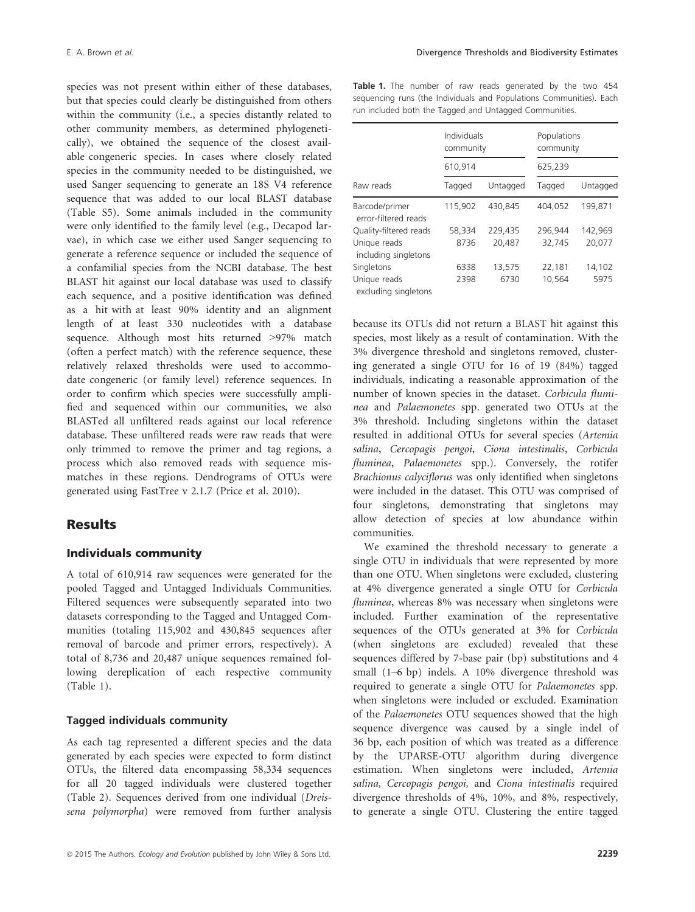species was not present within either of these databases, but that species could clearly be distinguished from others within the community (i.e., a species distantly related to other community members, as determined phylogenetically), we obtained the sequence of the closest available congeneric species. In cases where closely related species in the community needed to be distinguished, we used Sanger sequencing to generate an 18S V4 reference sequence that was added to our local BLAST database (Table S5). Some animals included in the community were only identified to the family level (e.g., Decapod larvae), in which case we either used Sanger sequencing to generate a reference sequence or included the sequence of a confamilial species from the NCBI database. The best BLAST hit against our local database was used to classify each sequence, and a positive identification was defined as a hit with at least 90% identity and an alignment length of at least 330 nucleotides with a database sequence. Although most hits returned >97% match (often a perfect match) with the reference sequence, these relatively relaxed thresholds were used to accommodate congeneric (or family level) reference sequences. In order to confirm which species were successfully amplified and sequenced within our communities, we also BLASTed all unfiltered reads against our local reference database. These unfiltered reads were raw reads that were only trimmed to remove the primer and tag regions, a process which also removed reads with sequence mismatches in these regions. Dendrograms of OTUs were generated using FastTree v 2.1.7 (Price et al. 2010).

### Results

#### Individuals community

A total of 610,914 raw sequences were generated for the pooled Tagged and Untagged Individuals Communities. Filtered sequences were subsequently separated into two datasets corresponding to the Tagged and Untagged Communities (totaling 115,902 and 430,845 sequences after removal of barcode and primer errors, respectively). A total of 8,736 and 20,487 unique sequences remained following dereplication of each respective community (Table 1).

#### Tagged individuals community

As each tag represented a different species and the data generated by each species were expected to form distinct OTUs, the filtered data encompassing 58,334 sequences for all 20 tagged individuals were clustered together (Table 2). Sequences derived from one individual (Dreissena polymorpha) were removed from further analysis Table 1. The number of raw reads generated by the two 454 sequencing runs (the Individuals and Populations Communities). Each run included both the Tagged and Untagged Communities.

|                                        | Individuals<br>community<br>610,914 |          | Populations<br>community |          |  |
|----------------------------------------|-------------------------------------|----------|--------------------------|----------|--|
|                                        |                                     |          | 625,239                  |          |  |
| Raw reads                              | Tagged                              | Untagged | Tagged                   | Untagged |  |
| Barcode/primer<br>error-filtered reads | 115,902                             | 430,845  | 404,052                  | 199,871  |  |
| Quality-filtered reads                 | 58,334                              | 229.435  | 296.944                  | 142.969  |  |
| Unique reads<br>including singletons   | 8736                                | 20,487   | 32,745                   | 20,077   |  |
| Singletons                             | 6338                                | 13.575   | 22,181                   | 14.102   |  |
| Unique reads<br>excluding singletons   | 2398                                | 6730     | 10,564                   | 5975     |  |

because its OTUs did not return a BLAST hit against this species, most likely as a result of contamination. With the 3% divergence threshold and singletons removed, clustering generated a single OTU for 16 of 19 (84%) tagged individuals, indicating a reasonable approximation of the number of known species in the dataset. Corbicula fluminea and Palaemonetes spp. generated two OTUs at the 3% threshold. Including singletons within the dataset resulted in additional OTUs for several species (Artemia salina, Cercopagis pengoi, Ciona intestinalis, Corbicula fluminea, Palaemonetes spp.). Conversely, the rotifer Brachionus calyciflorus was only identified when singletons were included in the dataset. This OTU was comprised of four singletons, demonstrating that singletons may allow detection of species at low abundance within communities.

We examined the threshold necessary to generate a single OTU in individuals that were represented by more than one OTU. When singletons were excluded, clustering at 4% divergence generated a single OTU for Corbicula fluminea, whereas 8% was necessary when singletons were included. Further examination of the representative sequences of the OTUs generated at 3% for Corbicula (when singletons are excluded) revealed that these sequences differed by 7-base pair (bp) substitutions and 4 small (1–6 bp) indels. A 10% divergence threshold was required to generate a single OTU for Palaemonetes spp. when singletons were included or excluded. Examination of the Palaemonetes OTU sequences showed that the high sequence divergence was caused by a single indel of 36 bp, each position of which was treated as a difference by the UPARSE-OTU algorithm during divergence estimation. When singletons were included, Artemia salina, Cercopagis pengoi, and Ciona intestinalis required divergence thresholds of 4%, 10%, and 8%, respectively, to generate a single OTU. Clustering the entire tagged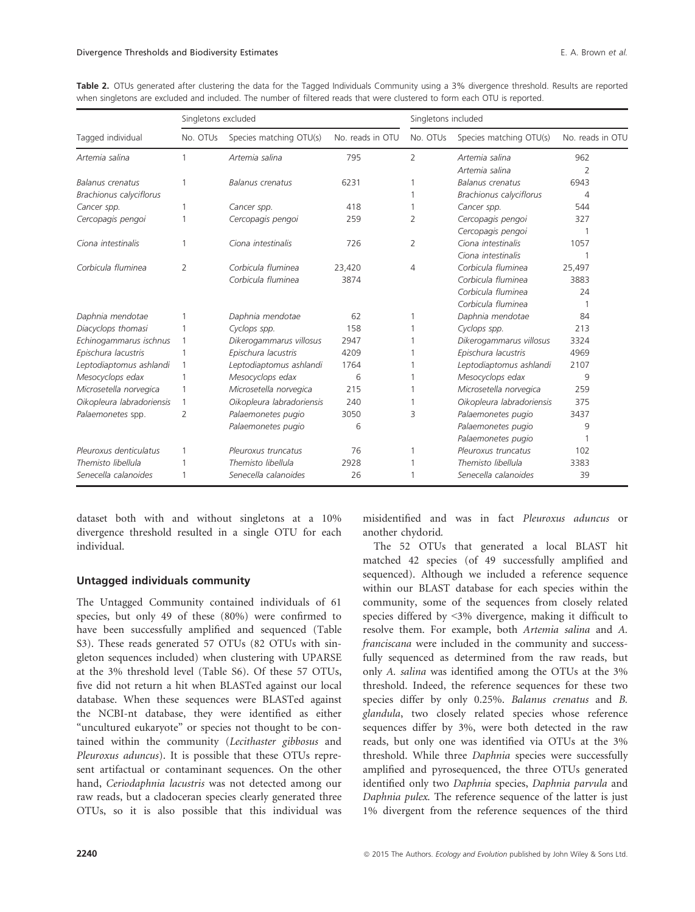|                           | Singletons excluded |                           |                  | Singletons included |                           |                  |
|---------------------------|---------------------|---------------------------|------------------|---------------------|---------------------------|------------------|
| Tagged individual         | No. OTUs            | Species matching OTU(s)   | No. reads in OTU | No. OTUs            | Species matching OTU(s)   | No. reads in OTU |
| Artemia salina            |                     | Artemia salina            | 795              | $\overline{2}$      | Artemia salina            | 962              |
|                           |                     |                           |                  |                     | Artemia salina            | 2                |
| Balanus crenatus          |                     | <b>Balanus crenatus</b>   | 6231             | 1                   | <b>Balanus</b> crenatus   | 6943             |
| Brachionus calyciflorus   |                     |                           |                  |                     | Brachionus calyciflorus   | 4                |
| Cancer spp.               | 1                   | Cancer spp.               | 418              | 1                   | Cancer spp.               | 544              |
| Cercopagis pengoi         |                     | Cercopagis pengoi         | 259              | 2                   | Cercopagis pengoi         | 327              |
|                           |                     |                           |                  |                     | Cercopagis pengoi         |                  |
| Ciona intestinalis        | 1                   | Ciona intestinalis        | 726              | 2                   | Ciona intestinalis        | 1057             |
|                           |                     |                           |                  |                     | Ciona intestinalis        |                  |
| Corbicula fluminea        | 2                   | Corbicula fluminea        | 23,420           | 4                   | Corbicula fluminea        | 25,497           |
|                           |                     | Corbicula fluminea        | 3874             |                     | Corbicula fluminea        | 3883             |
|                           |                     |                           |                  |                     | Corbicula fluminea        | 24               |
|                           |                     |                           |                  |                     | Corbicula fluminea        |                  |
| Daphnia mendotae          |                     | Daphnia mendotae          | 62               |                     | Daphnia mendotae          | 84               |
| Diacyclops thomasi        |                     | Cyclops spp.              | 158              |                     | Cyclops spp.              | 213              |
| Echinogammarus ischnus    |                     | Dikerogammarus villosus   | 2947             |                     | Dikerogammarus villosus   | 3324             |
| Epischura lacustris       |                     | Epischura lacustris       | 4209             |                     | Epischura lacustris       | 4969             |
| Leptodiaptomus ashlandi   | 1                   | Leptodiaptomus ashlandi   | 1764             |                     | Leptodiaptomus ashlandi   | 2107             |
| Mesocyclops edax          |                     | Mesocyclops edax          | 6                |                     | Mesocyclops edax          | 9                |
| Microsetella norvegica    |                     | Microsetella norvegica    | 215              |                     | Microsetella norvegica    | 259              |
| Oikopleura labradoriensis | 1                   | Oikopleura labradoriensis | 240              |                     | Oikopleura labradoriensis | 375              |
| Palaemonetes spp.         | 2                   | Palaemonetes pugio        | 3050             | 3                   | Palaemonetes pugio        | 3437             |
|                           |                     | Palaemonetes pugio        | 6                |                     | Palaemonetes pugio        | 9                |
|                           |                     |                           |                  |                     | Palaemonetes pugio        |                  |
| Pleuroxus denticulatus    |                     | Pleuroxus truncatus       | 76               |                     | Pleuroxus truncatus       | 102              |

Themisto libellula 1 Themisto libellula 2928 1 Themisto libellula 3383 Senecella calanoides 1 Senecella calanoides 26 1 Senecella calanoides 39

Table 2. OTUs generated after clustering the data for the Tagged Individuals Community using a 3% divergence threshold. Results are reported when singletons are excluded and included. The number of filtered reads that were clustered to form each OTU is reported.

dataset both with and without singletons at a 10% divergence threshold resulted in a single OTU for each individual.

#### Untagged individuals community

The Untagged Community contained individuals of 61 species, but only 49 of these (80%) were confirmed to have been successfully amplified and sequenced (Table S3). These reads generated 57 OTUs (82 OTUs with singleton sequences included) when clustering with UPARSE at the 3% threshold level (Table S6). Of these 57 OTUs, five did not return a hit when BLASTed against our local database. When these sequences were BLASTed against the NCBI-nt database, they were identified as either "uncultured eukaryote" or species not thought to be contained within the community (Lecithaster gibbosus and Pleuroxus aduncus). It is possible that these OTUs represent artifactual or contaminant sequences. On the other hand, Ceriodaphnia lacustris was not detected among our raw reads, but a cladoceran species clearly generated three OTUs, so it is also possible that this individual was misidentified and was in fact Pleuroxus aduncus or another chydorid.

The 52 OTUs that generated a local BLAST hit matched 42 species (of 49 successfully amplified and sequenced). Although we included a reference sequence within our BLAST database for each species within the community, some of the sequences from closely related species differed by <3% divergence, making it difficult to resolve them. For example, both Artemia salina and A. franciscana were included in the community and successfully sequenced as determined from the raw reads, but only A. salina was identified among the OTUs at the 3% threshold. Indeed, the reference sequences for these two species differ by only 0.25%. Balanus crenatus and B. glandula, two closely related species whose reference sequences differ by 3%, were both detected in the raw reads, but only one was identified via OTUs at the 3% threshold. While three Daphnia species were successfully amplified and pyrosequenced, the three OTUs generated identified only two Daphnia species, Daphnia parvula and Daphnia pulex. The reference sequence of the latter is just 1% divergent from the reference sequences of the third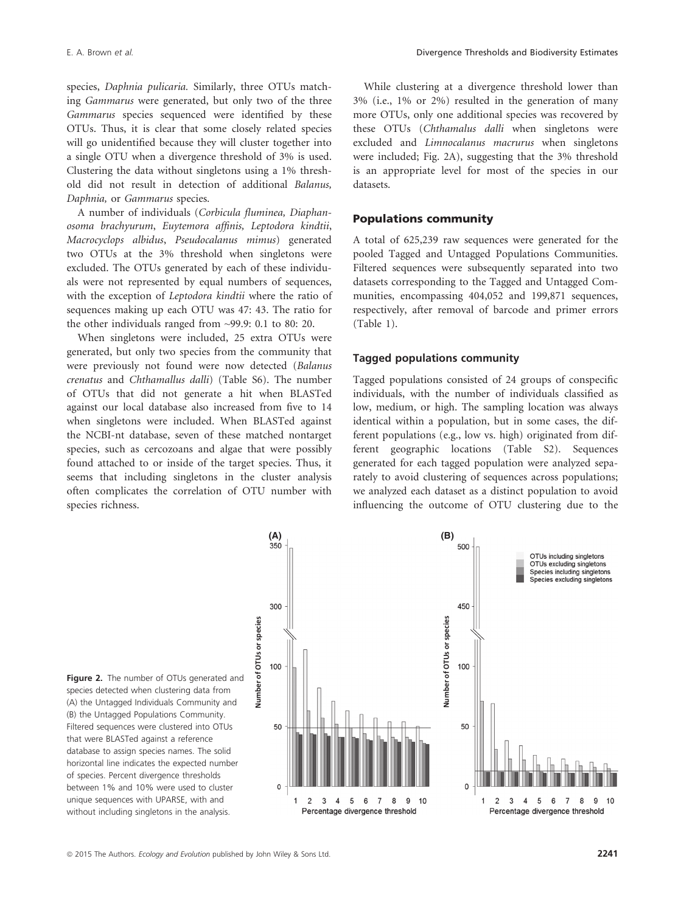species, Daphnia pulicaria. Similarly, three OTUs matching Gammarus were generated, but only two of the three Gammarus species sequenced were identified by these OTUs. Thus, it is clear that some closely related species will go unidentified because they will cluster together into a single OTU when a divergence threshold of 3% is used. Clustering the data without singletons using a 1% threshold did not result in detection of additional Balanus, Daphnia, or Gammarus species.

A number of individuals (Corbicula fluminea, Diaphanosoma brachyurum, Euytemora affinis, Leptodora kindtii, Macrocyclops albidus, Pseudocalanus mimus) generated two OTUs at the 3% threshold when singletons were excluded. The OTUs generated by each of these individuals were not represented by equal numbers of sequences, with the exception of Leptodora kindtii where the ratio of sequences making up each OTU was 47: 43. The ratio for the other individuals ranged from ~99.9: 0.1 to 80: 20.

When singletons were included, 25 extra OTUs were generated, but only two species from the community that were previously not found were now detected (Balanus crenatus and Chthamallus dalli) (Table S6). The number of OTUs that did not generate a hit when BLASTed against our local database also increased from five to 14 when singletons were included. When BLASTed against the NCBI-nt database, seven of these matched nontarget species, such as cercozoans and algae that were possibly found attached to or inside of the target species. Thus, it seems that including singletons in the cluster analysis often complicates the correlation of OTU number with species richness.

While clustering at a divergence threshold lower than 3% (i.e., 1% or 2%) resulted in the generation of many more OTUs, only one additional species was recovered by these OTUs (Chthamalus dalli when singletons were excluded and Limnocalanus macrurus when singletons were included; Fig. 2A), suggesting that the 3% threshold is an appropriate level for most of the species in our datasets.

#### Populations community

A total of 625,239 raw sequences were generated for the pooled Tagged and Untagged Populations Communities. Filtered sequences were subsequently separated into two datasets corresponding to the Tagged and Untagged Communities, encompassing 404,052 and 199,871 sequences, respectively, after removal of barcode and primer errors (Table 1).

#### Tagged populations community

Tagged populations consisted of 24 groups of conspecific individuals, with the number of individuals classified as low, medium, or high. The sampling location was always identical within a population, but in some cases, the different populations (e.g., low vs. high) originated from different geographic locations (Table S2). Sequences generated for each tagged population were analyzed separately to avoid clustering of sequences across populations; we analyzed each dataset as a distinct population to avoid influencing the outcome of OTU clustering due to the



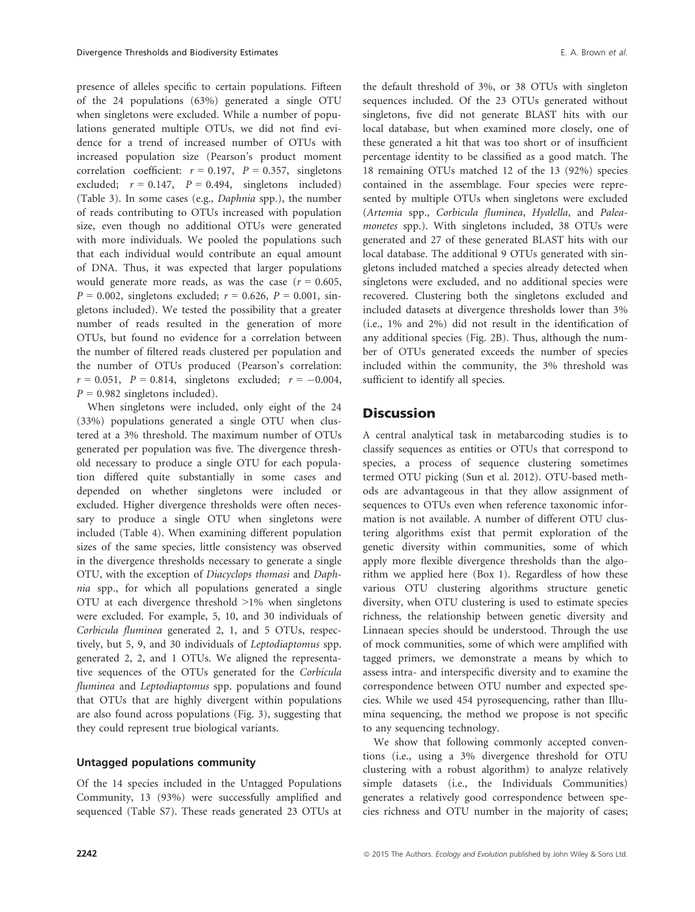presence of alleles specific to certain populations. Fifteen of the 24 populations (63%) generated a single OTU when singletons were excluded. While a number of populations generated multiple OTUs, we did not find evidence for a trend of increased number of OTUs with increased population size (Pearson's product moment correlation coefficient:  $r = 0.197$ ,  $P = 0.357$ , singletons excluded;  $r = 0.147$ ,  $P = 0.494$ , singletons included) (Table 3). In some cases (e.g., Daphnia spp.), the number of reads contributing to OTUs increased with population size, even though no additional OTUs were generated with more individuals. We pooled the populations such that each individual would contribute an equal amount of DNA. Thus, it was expected that larger populations would generate more reads, as was the case  $(r = 0.605,$  $P = 0.002$ , singletons excluded;  $r = 0.626$ ,  $P = 0.001$ , singletons included). We tested the possibility that a greater number of reads resulted in the generation of more OTUs, but found no evidence for a correlation between the number of filtered reads clustered per population and the number of OTUs produced (Pearson's correlation:  $r = 0.051$ ,  $P = 0.814$ , singletons excluded;  $r = -0.004$ ,  $P = 0.982$  singletons included).

When singletons were included, only eight of the 24 (33%) populations generated a single OTU when clustered at a 3% threshold. The maximum number of OTUs generated per population was five. The divergence threshold necessary to produce a single OTU for each population differed quite substantially in some cases and depended on whether singletons were included or excluded. Higher divergence thresholds were often necessary to produce a single OTU when singletons were included (Table 4). When examining different population sizes of the same species, little consistency was observed in the divergence thresholds necessary to generate a single OTU, with the exception of Diacyclops thomasi and Daphnia spp., for which all populations generated a single OTU at each divergence threshold >1% when singletons were excluded. For example, 5, 10, and 30 individuals of Corbicula fluminea generated 2, 1, and 5 OTUs, respectively, but 5, 9, and 30 individuals of Leptodiaptomus spp. generated 2, 2, and 1 OTUs. We aligned the representative sequences of the OTUs generated for the Corbicula fluminea and Leptodiaptomus spp. populations and found that OTUs that are highly divergent within populations are also found across populations (Fig. 3), suggesting that they could represent true biological variants.

#### Untagged populations community

Of the 14 species included in the Untagged Populations Community, 13 (93%) were successfully amplified and sequenced (Table S7). These reads generated 23 OTUs at

the default threshold of 3%, or 38 OTUs with singleton sequences included. Of the 23 OTUs generated without singletons, five did not generate BLAST hits with our local database, but when examined more closely, one of these generated a hit that was too short or of insufficient percentage identity to be classified as a good match. The 18 remaining OTUs matched 12 of the 13 (92%) species contained in the assemblage. Four species were represented by multiple OTUs when singletons were excluded (Artemia spp., Corbicula fluminea, Hyalella, and Paleamonetes spp.). With singletons included, 38 OTUs were generated and 27 of these generated BLAST hits with our local database. The additional 9 OTUs generated with singletons included matched a species already detected when singletons were excluded, and no additional species were recovered. Clustering both the singletons excluded and included datasets at divergence thresholds lower than 3% (i.e., 1% and 2%) did not result in the identification of any additional species (Fig. 2B). Thus, although the number of OTUs generated exceeds the number of species included within the community, the 3% threshold was sufficient to identify all species.

#### **Discussion**

A central analytical task in metabarcoding studies is to classify sequences as entities or OTUs that correspond to species, a process of sequence clustering sometimes termed OTU picking (Sun et al. 2012). OTU-based methods are advantageous in that they allow assignment of sequences to OTUs even when reference taxonomic information is not available. A number of different OTU clustering algorithms exist that permit exploration of the genetic diversity within communities, some of which apply more flexible divergence thresholds than the algorithm we applied here (Box 1). Regardless of how these various OTU clustering algorithms structure genetic diversity, when OTU clustering is used to estimate species richness, the relationship between genetic diversity and Linnaean species should be understood. Through the use of mock communities, some of which were amplified with tagged primers, we demonstrate a means by which to assess intra- and interspecific diversity and to examine the correspondence between OTU number and expected species. While we used 454 pyrosequencing, rather than Illumina sequencing, the method we propose is not specific to any sequencing technology.

We show that following commonly accepted conventions (i.e., using a 3% divergence threshold for OTU clustering with a robust algorithm) to analyze relatively simple datasets (i.e., the Individuals Communities) generates a relatively good correspondence between species richness and OTU number in the majority of cases;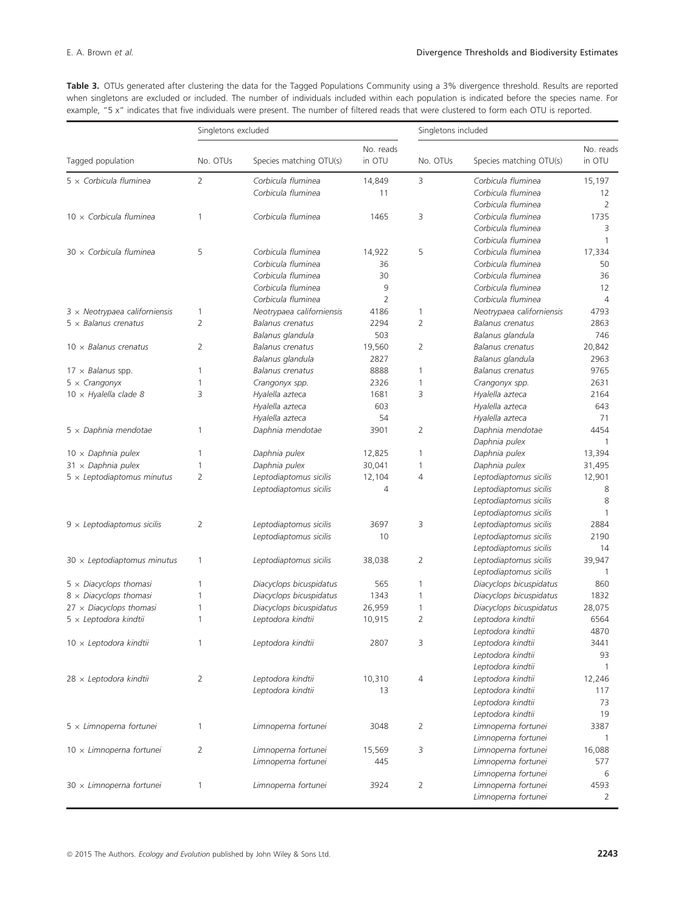Table 3. OTUs generated after clustering the data for the Tagged Populations Community using a 3% divergence threshold. Results are reported when singletons are excluded or included. The number of individuals included within each population is indicated before the species name. For example, "5 x" indicates that five individuals were present. The number of filtered reads that were clustered to form each OTU is reported.

|                                      |                | Singletons excluded       |                     | Singletons included |                           |                     |
|--------------------------------------|----------------|---------------------------|---------------------|---------------------|---------------------------|---------------------|
| Tagged population                    | No. OTUs       |                           | No. reads<br>in OTU | No. OTUs            |                           | No. reads<br>in OTU |
|                                      |                | Species matching OTU(s)   |                     |                     | Species matching OTU(s)   |                     |
| $5 \times$ Corbicula fluminea        | $\overline{2}$ | Corbicula fluminea        | 14,849              | 3                   | Corbicula fluminea        | 15,197              |
|                                      |                | Corbicula fluminea        | 11                  |                     | Corbicula fluminea        | 12                  |
|                                      |                |                           |                     |                     | Corbicula fluminea        | 2                   |
| $10 \times$ Corbicula fluminea       | 1              | Corbicula fluminea        | 1465                | 3                   | Corbicula fluminea        | 1735                |
|                                      |                |                           |                     |                     | Corbicula fluminea        | 3                   |
|                                      |                |                           |                     |                     | Corbicula fluminea        | 1                   |
| $30 \times$ Corbicula fluminea       | 5              | Corbicula fluminea        | 14,922              | 5                   | Corbicula fluminea        | 17,334              |
|                                      |                | Corbicula fluminea        | 36                  |                     | Corbicula fluminea        | 50                  |
|                                      |                | Corbicula fluminea        | 30                  |                     | Corbicula fluminea        | 36                  |
|                                      |                | Corbicula fluminea        | 9                   |                     | Corbicula fluminea        | 12                  |
|                                      |                | Corbicula fluminea        | $\overline{2}$      |                     | Corbicula fluminea        | $\overline{4}$      |
| $3 \times$ Neotrypaea californiensis | 1              | Neotrypaea californiensis | 4186                | 1                   | Neotrypaea californiensis | 4793                |
| $5 \times$ Balanus crenatus          | 2              | Balanus crenatus          | 2294                | $\overline{2}$      | Balanus crenatus          | 2863                |
|                                      |                | Balanus glandula          | 503                 |                     | Balanus glandula          | 746                 |
| $10 \times$ Balanus crenatus         | 2              | Balanus crenatus          | 19,560              | 2                   | Balanus crenatus          | 20,842              |
|                                      |                | Balanus glandula          | 2827                |                     | Balanus glandula          | 2963                |
| $17 \times$ Balanus spp.             | 1              | <b>Balanus crenatus</b>   | 8888                | 1                   | Balanus crenatus          | 9765                |
| $5 \times$ Crangonyx                 | 1              | Crangonyx spp.            | 2326                | 1                   | Crangonyx spp.            | 2631                |
| $10 \times$ Hyalella clade 8         | 3              | Hyalella azteca           | 1681                | 3                   | Hyalella azteca           | 2164                |
|                                      |                | Hyalella azteca           | 603                 |                     | Hyalella azteca           | 643                 |
|                                      |                | Hyalella azteca           | 54                  |                     | Hyalella azteca           | 71                  |
| $5 \times$ Daphnia mendotae          | 1              | Daphnia mendotae          | 3901                | 2                   | Daphnia mendotae          | 4454                |
|                                      |                |                           |                     |                     | Daphnia pulex             | 1                   |
| $10 \times$ Daphnia pulex            | 1              | Daphnia pulex             | 12,825              | 1                   | Daphnia pulex             | 13,394              |
| $31 \times$ Daphnia pulex            | 1              | Daphnia pulex             | 30,041              | 1                   | Daphnia pulex             | 31,495              |
| $5 \times$ Leptodiaptomus minutus    | $\overline{2}$ | Leptodiaptomus sicilis    | 12,104              | 4                   | Leptodiaptomus sicilis    | 12,901              |
|                                      |                | Leptodiaptomus sicilis    | 4                   |                     | Leptodiaptomus sicilis    | 8                   |
|                                      |                |                           |                     |                     | Leptodiaptomus sicilis    | 8                   |
|                                      |                |                           |                     |                     | Leptodiaptomus sicilis    | 1                   |
| $9 \times$ Leptodiaptomus sicilis    | 2              | Leptodiaptomus sicilis    | 3697                | 3                   | Leptodiaptomus sicilis    | 2884                |
|                                      |                | Leptodiaptomus sicilis    | 10                  |                     | Leptodiaptomus sicilis    | 2190                |
|                                      |                |                           |                     |                     | Leptodiaptomus sicilis    | 14                  |
| $30 \times$ Leptodiaptomus minutus   | 1              | Leptodiaptomus sicilis    | 38,038              | $\overline{2}$      | Leptodiaptomus sicilis    | 39,947              |
|                                      |                |                           |                     |                     | Leptodiaptomus sicilis    | $\mathbf{1}$        |
| $5 \times$ Diacyclops thomasi        | 1              | Diacyclops bicuspidatus   | 565                 | 1                   | Diacyclops bicuspidatus   | 860                 |
| $8 \times$ Diacyclops thomasi        | 1              | Diacyclops bicuspidatus   | 1343                | 1                   | Diacyclops bicuspidatus   | 1832                |
| $27 \times$ Diacyclops thomasi       | 1              | Diacyclops bicuspidatus   | 26,959              | 1                   | Diacyclops bicuspidatus   | 28,075              |
| $5 \times$ Leptodora kindtii         | 1              | Leptodora kindtii         | 10,915              | 2                   | Leptodora kindtii         | 6564                |
|                                      |                |                           |                     |                     | Leptodora kindtii         | 4870                |
| $10 \times$ Leptodora kindtii        | 1              | Leptodora kindtii         | 2807                | 3                   | Leptodora kindtii         | 3441                |
|                                      |                |                           |                     |                     | Leptodora kindtii         | 93                  |
|                                      |                |                           |                     |                     | Leptodora kindtii         | 1                   |
| $28 \times$ Leptodora kindtii        | 2              | Leptodora kindtii         | 10,310              | 4                   | Leptodora kindtii         | 12,246              |
|                                      |                | Leptodora kindtii         | 13                  |                     | Leptodora kindtii         | 117                 |
|                                      |                |                           |                     |                     | Leptodora kindtii         | 73                  |
|                                      |                |                           |                     |                     | Leptodora kindtii         | 19                  |
| $5 \times$ Limnoperna fortunei       | 1              | Limnoperna fortunei       | 3048                | 2                   | Limnoperna fortunei       | 3387                |
|                                      |                |                           |                     |                     | Limnoperna fortunei       | 1                   |
| $10 \times$ Limnoperna fortunei      | 2              | Limnoperna fortunei       | 15,569              | 3                   | Limnoperna fortunei       | 16,088              |
|                                      |                | Limnoperna fortunei       | 445                 |                     | Limnoperna fortunei       | 577                 |
|                                      |                |                           |                     |                     | Limnoperna fortunei       | 6                   |
| $30 \times$ Limnoperna fortunei      | 1              | Limnoperna fortunei       | 3924                | 2                   | Limnoperna fortunei       | 4593                |
|                                      |                |                           |                     |                     | Limnoperna fortunei       | 2                   |
|                                      |                |                           |                     |                     |                           |                     |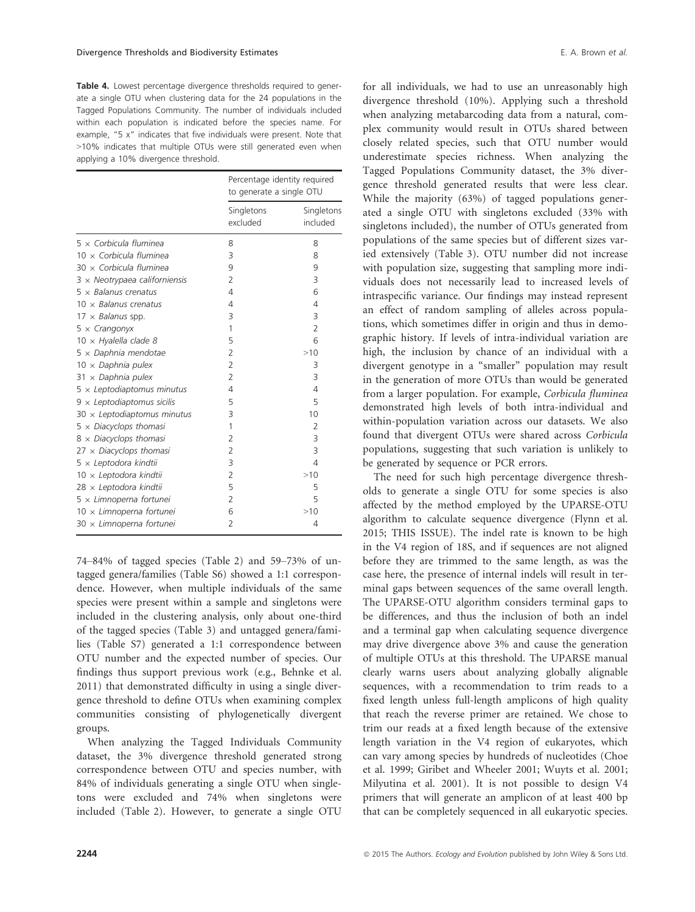Table 4. Lowest percentage divergence thresholds required to generate a single OTU when clustering data for the 24 populations in the Tagged Populations Community. The number of individuals included within each population is indicated before the species name. For example, "5 x" indicates that five individuals were present. Note that >10% indicates that multiple OTUs were still generated even when applying a 10% divergence threshold.

|                                      |                        | Percentage identity required<br>to generate a single OTU |  |  |
|--------------------------------------|------------------------|----------------------------------------------------------|--|--|
|                                      | Singletons<br>excluded | Singletons<br>included                                   |  |  |
| $5 \times$ Corbicula fluminea        | 8                      | 8                                                        |  |  |
| $10 \times$ Corbicula fluminea       | 3                      | 8                                                        |  |  |
| $30 \times$ Corbicula fluminea       | 9                      | 9                                                        |  |  |
| $3 \times$ Neotrypaea californiensis | $\overline{2}$         | 3                                                        |  |  |
| $5 \times$ Balanus crenatus          | 4                      | 6                                                        |  |  |
| $10 \times$ Balanus crenatus         | 4                      | $\overline{4}$                                           |  |  |
| $17 \times$ Balanus spp.             | 3                      | 3                                                        |  |  |
| $5 \times$ Crangonyx                 | 1                      | $\overline{2}$                                           |  |  |
| $10 \times$ Hyalella clade 8         | 5                      | 6                                                        |  |  |
| $5 \times$ Daphnia mendotae          | $\overline{2}$         | >10                                                      |  |  |
| $10 \times$ Daphnia pulex            | $\overline{2}$         | 3                                                        |  |  |
| $31 \times$ Daphnia pulex            | $\overline{2}$         | 3                                                        |  |  |
| $5 \times$ Leptodiaptomus minutus    | 4                      | 4                                                        |  |  |
| $9 \times$ Leptodiaptomus sicilis    | 5                      | 5                                                        |  |  |
| $30 \times$ Leptodiaptomus minutus   | 3                      | 10                                                       |  |  |
| $5 \times$ Diacyclops thomasi        | 1                      | $\overline{2}$                                           |  |  |
| $8 \times$ Diacyclops thomasi        | 2                      | 3                                                        |  |  |
| $27 \times$ Diacyclops thomasi       | 2                      | 3                                                        |  |  |
| $5 \times$ Leptodora kindtii         | 3                      | 4                                                        |  |  |
| $10 \times$ Leptodora kindtii        | 2                      | >10                                                      |  |  |
| $28 \times$ Leptodora kindtii        | 5                      | 5                                                        |  |  |
| $5 \times$ Limnoperna fortunei       | 2                      | 5                                                        |  |  |
| $10 \times$ Limnoperna fortunei      | 6                      | >10                                                      |  |  |
| $30 \times$ Limnoperna fortunei      | 2                      | 4                                                        |  |  |

74–84% of tagged species (Table 2) and 59–73% of untagged genera/families (Table S6) showed a 1:1 correspondence. However, when multiple individuals of the same species were present within a sample and singletons were included in the clustering analysis, only about one-third of the tagged species (Table 3) and untagged genera/families (Table S7) generated a 1:1 correspondence between OTU number and the expected number of species. Our findings thus support previous work (e.g., Behnke et al. 2011) that demonstrated difficulty in using a single divergence threshold to define OTUs when examining complex communities consisting of phylogenetically divergent groups.

When analyzing the Tagged Individuals Community dataset, the 3% divergence threshold generated strong correspondence between OTU and species number, with 84% of individuals generating a single OTU when singletons were excluded and 74% when singletons were included (Table 2). However, to generate a single OTU

for all individuals, we had to use an unreasonably high divergence threshold (10%). Applying such a threshold when analyzing metabarcoding data from a natural, complex community would result in OTUs shared between closely related species, such that OTU number would underestimate species richness. When analyzing the Tagged Populations Community dataset, the 3% divergence threshold generated results that were less clear. While the majority (63%) of tagged populations generated a single OTU with singletons excluded (33% with singletons included), the number of OTUs generated from populations of the same species but of different sizes varied extensively (Table 3). OTU number did not increase with population size, suggesting that sampling more individuals does not necessarily lead to increased levels of intraspecific variance. Our findings may instead represent an effect of random sampling of alleles across populations, which sometimes differ in origin and thus in demographic history. If levels of intra-individual variation are high, the inclusion by chance of an individual with a divergent genotype in a "smaller" population may result in the generation of more OTUs than would be generated from a larger population. For example, Corbicula fluminea demonstrated high levels of both intra-individual and within-population variation across our datasets. We also found that divergent OTUs were shared across Corbicula populations, suggesting that such variation is unlikely to be generated by sequence or PCR errors.

The need for such high percentage divergence thresholds to generate a single OTU for some species is also affected by the method employed by the UPARSE-OTU algorithm to calculate sequence divergence (Flynn et al. 2015; THIS ISSUE). The indel rate is known to be high in the V4 region of 18S, and if sequences are not aligned before they are trimmed to the same length, as was the case here, the presence of internal indels will result in terminal gaps between sequences of the same overall length. The UPARSE-OTU algorithm considers terminal gaps to be differences, and thus the inclusion of both an indel and a terminal gap when calculating sequence divergence may drive divergence above 3% and cause the generation of multiple OTUs at this threshold. The UPARSE manual clearly warns users about analyzing globally alignable sequences, with a recommendation to trim reads to a fixed length unless full-length amplicons of high quality that reach the reverse primer are retained. We chose to trim our reads at a fixed length because of the extensive length variation in the V4 region of eukaryotes, which can vary among species by hundreds of nucleotides (Choe et al. 1999; Giribet and Wheeler 2001; Wuyts et al. 2001; Milyutina et al. 2001). It is not possible to design V4 primers that will generate an amplicon of at least 400 bp that can be completely sequenced in all eukaryotic species.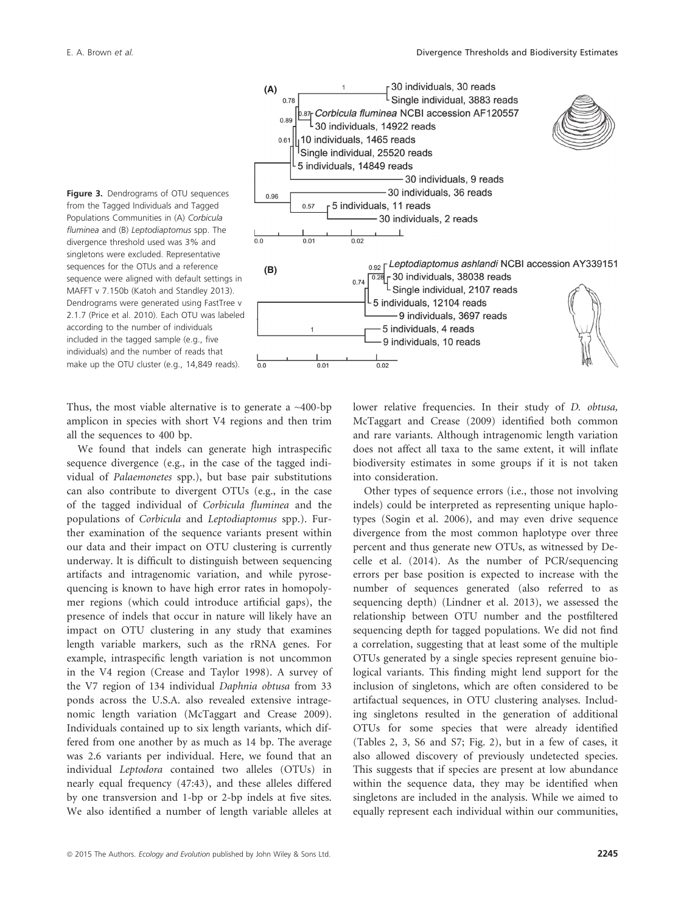



Thus, the most viable alternative is to generate a  $\sim$ 400-bp amplicon in species with short V4 regions and then trim all the sequences to 400 bp.

We found that indels can generate high intraspecific sequence divergence (e.g., in the case of the tagged individual of Palaemonetes spp.), but base pair substitutions can also contribute to divergent OTUs (e.g., in the case of the tagged individual of Corbicula fluminea and the populations of Corbicula and Leptodiaptomus spp.). Further examination of the sequence variants present within our data and their impact on OTU clustering is currently underway. lt is difficult to distinguish between sequencing artifacts and intragenomic variation, and while pyrosequencing is known to have high error rates in homopolymer regions (which could introduce artificial gaps), the presence of indels that occur in nature will likely have an impact on OTU clustering in any study that examines length variable markers, such as the rRNA genes. For example, intraspecific length variation is not uncommon in the V4 region (Crease and Taylor 1998). A survey of the V7 region of 134 individual Daphnia obtusa from 33 ponds across the U.S.A. also revealed extensive intragenomic length variation (McTaggart and Crease 2009). Individuals contained up to six length variants, which differed from one another by as much as 14 bp. The average was 2.6 variants per individual. Here, we found that an individual Leptodora contained two alleles (OTUs) in nearly equal frequency (47:43), and these alleles differed by one transversion and 1-bp or 2-bp indels at five sites. We also identified a number of length variable alleles at lower relative frequencies. In their study of *D. obtusa*, McTaggart and Crease (2009) identified both common and rare variants. Although intragenomic length variation does not affect all taxa to the same extent, it will inflate biodiversity estimates in some groups if it is not taken into consideration.

Other types of sequence errors (i.e., those not involving indels) could be interpreted as representing unique haplotypes (Sogin et al. 2006), and may even drive sequence divergence from the most common haplotype over three percent and thus generate new OTUs, as witnessed by Decelle et al. (2014). As the number of PCR/sequencing errors per base position is expected to increase with the number of sequences generated (also referred to as sequencing depth) (Lindner et al. 2013), we assessed the relationship between OTU number and the postfiltered sequencing depth for tagged populations. We did not find a correlation, suggesting that at least some of the multiple OTUs generated by a single species represent genuine biological variants. This finding might lend support for the inclusion of singletons, which are often considered to be artifactual sequences, in OTU clustering analyses. Including singletons resulted in the generation of additional OTUs for some species that were already identified (Tables 2, 3, S6 and S7; Fig. 2), but in a few of cases, it also allowed discovery of previously undetected species. This suggests that if species are present at low abundance within the sequence data, they may be identified when singletons are included in the analysis. While we aimed to equally represent each individual within our communities,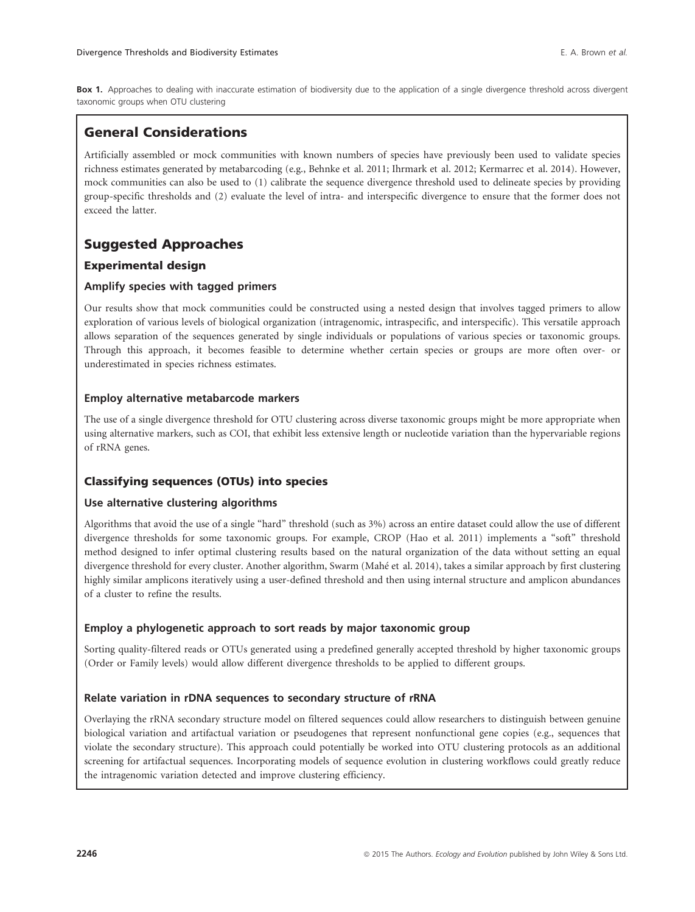Box 1. Approaches to dealing with inaccurate estimation of biodiversity due to the application of a single divergence threshold across divergent taxonomic groups when OTU clustering

## General Considerations

Artificially assembled or mock communities with known numbers of species have previously been used to validate species richness estimates generated by metabarcoding (e.g., Behnke et al. 2011; Ihrmark et al. 2012; Kermarrec et al. 2014). However, mock communities can also be used to (1) calibrate the sequence divergence threshold used to delineate species by providing group-specific thresholds and (2) evaluate the level of intra- and interspecific divergence to ensure that the former does not exceed the latter.

## Suggested Approaches

#### Experimental design

#### Amplify species with tagged primers

Our results show that mock communities could be constructed using a nested design that involves tagged primers to allow exploration of various levels of biological organization (intragenomic, intraspecific, and interspecific). This versatile approach allows separation of the sequences generated by single individuals or populations of various species or taxonomic groups. Through this approach, it becomes feasible to determine whether certain species or groups are more often over- or underestimated in species richness estimates.

#### Employ alternative metabarcode markers

The use of a single divergence threshold for OTU clustering across diverse taxonomic groups might be more appropriate when using alternative markers, such as COI, that exhibit less extensive length or nucleotide variation than the hypervariable regions of rRNA genes.

#### Classifying sequences (OTUs) into species

#### Use alternative clustering algorithms

Algorithms that avoid the use of a single "hard" threshold (such as 3%) across an entire dataset could allow the use of different divergence thresholds for some taxonomic groups. For example, CROP (Hao et al. 2011) implements a "soft" threshold method designed to infer optimal clustering results based on the natural organization of the data without setting an equal divergence threshold for every cluster. Another algorithm, Swarm (Mahe et al. 2014), takes a similar approach by first clustering highly similar amplicons iteratively using a user-defined threshold and then using internal structure and amplicon abundances of a cluster to refine the results.

#### Employ a phylogenetic approach to sort reads by major taxonomic group

Sorting quality-filtered reads or OTUs generated using a predefined generally accepted threshold by higher taxonomic groups (Order or Family levels) would allow different divergence thresholds to be applied to different groups.

#### Relate variation in rDNA sequences to secondary structure of rRNA

Overlaying the rRNA secondary structure model on filtered sequences could allow researchers to distinguish between genuine biological variation and artifactual variation or pseudogenes that represent nonfunctional gene copies (e.g., sequences that violate the secondary structure). This approach could potentially be worked into OTU clustering protocols as an additional screening for artifactual sequences. Incorporating models of sequence evolution in clustering workflows could greatly reduce the intragenomic variation detected and improve clustering efficiency.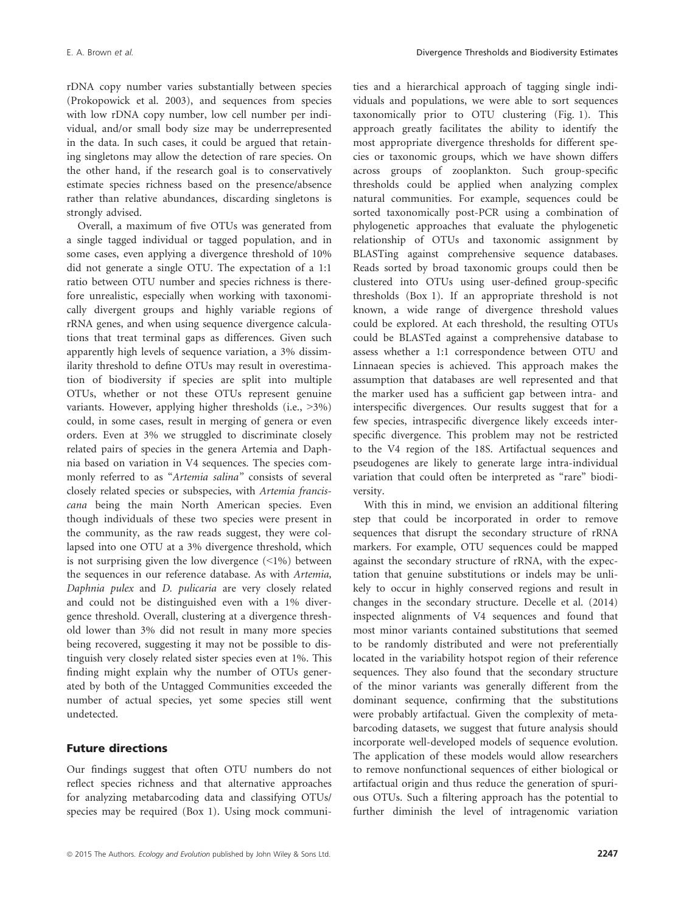rDNA copy number varies substantially between species (Prokopowick et al. 2003), and sequences from species with low rDNA copy number, low cell number per individual, and/or small body size may be underrepresented in the data. In such cases, it could be argued that retaining singletons may allow the detection of rare species. On the other hand, if the research goal is to conservatively estimate species richness based on the presence/absence rather than relative abundances, discarding singletons is strongly advised.

Overall, a maximum of five OTUs was generated from a single tagged individual or tagged population, and in some cases, even applying a divergence threshold of 10% did not generate a single OTU. The expectation of a 1:1 ratio between OTU number and species richness is therefore unrealistic, especially when working with taxonomically divergent groups and highly variable regions of rRNA genes, and when using sequence divergence calculations that treat terminal gaps as differences. Given such apparently high levels of sequence variation, a 3% dissimilarity threshold to define OTUs may result in overestimation of biodiversity if species are split into multiple OTUs, whether or not these OTUs represent genuine variants. However, applying higher thresholds (i.e., >3%) could, in some cases, result in merging of genera or even orders. Even at 3% we struggled to discriminate closely related pairs of species in the genera Artemia and Daphnia based on variation in V4 sequences. The species commonly referred to as "Artemia salina" consists of several closely related species or subspecies, with Artemia franciscana being the main North American species. Even though individuals of these two species were present in the community, as the raw reads suggest, they were collapsed into one OTU at a 3% divergence threshold, which is not surprising given the low divergence (<1%) between the sequences in our reference database. As with Artemia, Daphnia pulex and D. pulicaria are very closely related and could not be distinguished even with a 1% divergence threshold. Overall, clustering at a divergence threshold lower than 3% did not result in many more species being recovered, suggesting it may not be possible to distinguish very closely related sister species even at 1%. This finding might explain why the number of OTUs generated by both of the Untagged Communities exceeded the number of actual species, yet some species still went undetected.

#### Future directions

Our findings suggest that often OTU numbers do not reflect species richness and that alternative approaches for analyzing metabarcoding data and classifying OTUs/ species may be required (Box 1). Using mock communities and a hierarchical approach of tagging single individuals and populations, we were able to sort sequences taxonomically prior to OTU clustering (Fig. 1). This approach greatly facilitates the ability to identify the most appropriate divergence thresholds for different species or taxonomic groups, which we have shown differs across groups of zooplankton. Such group-specific thresholds could be applied when analyzing complex natural communities. For example, sequences could be sorted taxonomically post-PCR using a combination of phylogenetic approaches that evaluate the phylogenetic relationship of OTUs and taxonomic assignment by BLASTing against comprehensive sequence databases. Reads sorted by broad taxonomic groups could then be clustered into OTUs using user-defined group-specific thresholds (Box 1). If an appropriate threshold is not known, a wide range of divergence threshold values could be explored. At each threshold, the resulting OTUs could be BLASTed against a comprehensive database to assess whether a 1:1 correspondence between OTU and Linnaean species is achieved. This approach makes the assumption that databases are well represented and that the marker used has a sufficient gap between intra- and interspecific divergences. Our results suggest that for a few species, intraspecific divergence likely exceeds interspecific divergence. This problem may not be restricted to the V4 region of the 18S. Artifactual sequences and pseudogenes are likely to generate large intra-individual variation that could often be interpreted as "rare" biodiversity.

With this in mind, we envision an additional filtering step that could be incorporated in order to remove sequences that disrupt the secondary structure of rRNA markers. For example, OTU sequences could be mapped against the secondary structure of rRNA, with the expectation that genuine substitutions or indels may be unlikely to occur in highly conserved regions and result in changes in the secondary structure. Decelle et al. (2014) inspected alignments of V4 sequences and found that most minor variants contained substitutions that seemed to be randomly distributed and were not preferentially located in the variability hotspot region of their reference sequences. They also found that the secondary structure of the minor variants was generally different from the dominant sequence, confirming that the substitutions were probably artifactual. Given the complexity of metabarcoding datasets, we suggest that future analysis should incorporate well-developed models of sequence evolution. The application of these models would allow researchers to remove nonfunctional sequences of either biological or artifactual origin and thus reduce the generation of spurious OTUs. Such a filtering approach has the potential to further diminish the level of intragenomic variation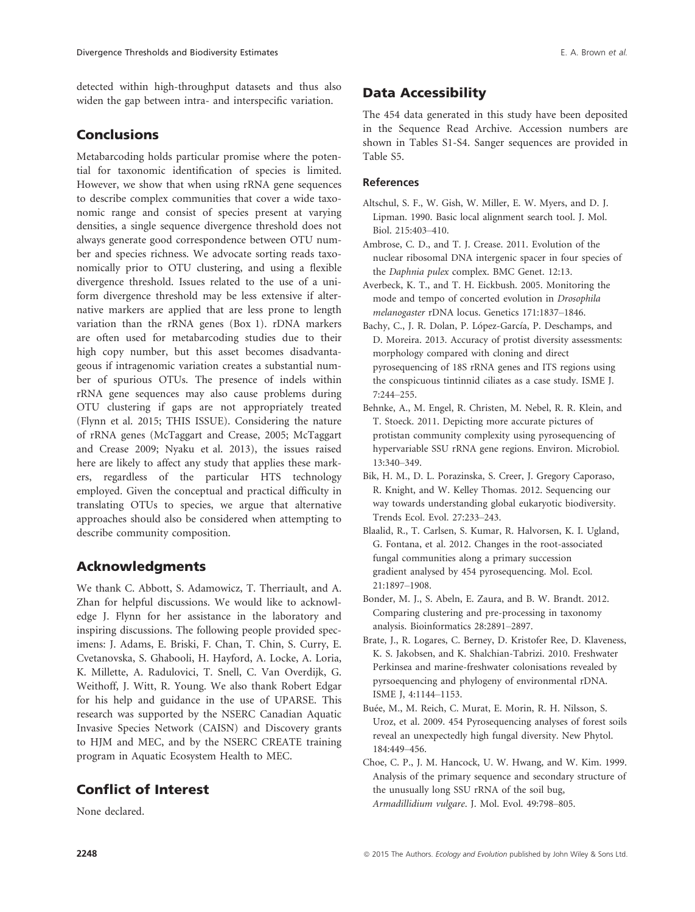detected within high-throughput datasets and thus also widen the gap between intra- and interspecific variation.

## Conclusions

Metabarcoding holds particular promise where the potential for taxonomic identification of species is limited. However, we show that when using rRNA gene sequences to describe complex communities that cover a wide taxonomic range and consist of species present at varying densities, a single sequence divergence threshold does not always generate good correspondence between OTU number and species richness. We advocate sorting reads taxonomically prior to OTU clustering, and using a flexible divergence threshold. Issues related to the use of a uniform divergence threshold may be less extensive if alternative markers are applied that are less prone to length variation than the rRNA genes (Box 1). rDNA markers are often used for metabarcoding studies due to their high copy number, but this asset becomes disadvantageous if intragenomic variation creates a substantial number of spurious OTUs. The presence of indels within rRNA gene sequences may also cause problems during OTU clustering if gaps are not appropriately treated (Flynn et al. 2015; THIS ISSUE). Considering the nature of rRNA genes (McTaggart and Crease, 2005; McTaggart and Crease 2009; Nyaku et al. 2013), the issues raised here are likely to affect any study that applies these markers, regardless of the particular HTS technology employed. Given the conceptual and practical difficulty in translating OTUs to species, we argue that alternative approaches should also be considered when attempting to describe community composition.

## Acknowledgments

We thank C. Abbott, S. Adamowicz, T. Therriault, and A. Zhan for helpful discussions. We would like to acknowledge J. Flynn for her assistance in the laboratory and inspiring discussions. The following people provided specimens: J. Adams, E. Briski, F. Chan, T. Chin, S. Curry, E. Cvetanovska, S. Ghabooli, H. Hayford, A. Locke, A. Loria, K. Millette, A. Radulovici, T. Snell, C. Van Overdijk, G. Weithoff, J. Witt, R. Young. We also thank Robert Edgar for his help and guidance in the use of UPARSE. This research was supported by the NSERC Canadian Aquatic Invasive Species Network (CAISN) and Discovery grants to HJM and MEC, and by the NSERC CREATE training program in Aquatic Ecosystem Health to MEC.

## Conflict of Interest

None declared.

## Data Accessibility

The 454 data generated in this study have been deposited in the Sequence Read Archive. Accession numbers are shown in Tables S1-S4. Sanger sequences are provided in Table S5.

#### References

- Altschul, S. F., W. Gish, W. Miller, E. W. Myers, and D. J. Lipman. 1990. Basic local alignment search tool. J. Mol. Biol. 215:403–410.
- Ambrose, C. D., and T. J. Crease. 2011. Evolution of the nuclear ribosomal DNA intergenic spacer in four species of the Daphnia pulex complex. BMC Genet. 12:13.
- Averbeck, K. T., and T. H. Eickbush. 2005. Monitoring the mode and tempo of concerted evolution in Drosophila melanogaster rDNA locus. Genetics 171:1837–1846.
- Bachy, C., J. R. Dolan, P. López-García, P. Deschamps, and D. Moreira. 2013. Accuracy of protist diversity assessments: morphology compared with cloning and direct pyrosequencing of 18S rRNA genes and ITS regions using the conspicuous tintinnid ciliates as a case study. ISME J. 7:244–255.
- Behnke, A., M. Engel, R. Christen, M. Nebel, R. R. Klein, and T. Stoeck. 2011. Depicting more accurate pictures of protistan community complexity using pyrosequencing of hypervariable SSU rRNA gene regions. Environ. Microbiol. 13:340–349.
- Bik, H. M., D. L. Porazinska, S. Creer, J. Gregory Caporaso, R. Knight, and W. Kelley Thomas. 2012. Sequencing our way towards understanding global eukaryotic biodiversity. Trends Ecol. Evol. 27:233–243.
- Blaalid, R., T. Carlsen, S. Kumar, R. Halvorsen, K. I. Ugland, G. Fontana, et al. 2012. Changes in the root-associated fungal communities along a primary succession gradient analysed by 454 pyrosequencing. Mol. Ecol. 21:1897–1908.
- Bonder, M. J., S. Abeln, E. Zaura, and B. W. Brandt. 2012. Comparing clustering and pre-processing in taxonomy analysis. Bioinformatics 28:2891–2897.
- Brate, J., R. Logares, C. Berney, D. Kristofer Ree, D. Klaveness, K. S. Jakobsen, and K. Shalchian-Tabrizi. 2010. Freshwater Perkinsea and marine-freshwater colonisations revealed by pyrsoequencing and phylogeny of environmental rDNA. ISME J, 4:1144–1153.
- Buée, M., M. Reich, C. Murat, E. Morin, R. H. Nilsson, S. Uroz, et al. 2009. 454 Pyrosequencing analyses of forest soils reveal an unexpectedly high fungal diversity. New Phytol. 184:449–456.
- Choe, C. P., J. M. Hancock, U. W. Hwang, and W. Kim. 1999. Analysis of the primary sequence and secondary structure of the unusually long SSU rRNA of the soil bug, Armadillidium vulgare. J. Mol. Evol. 49:798–805.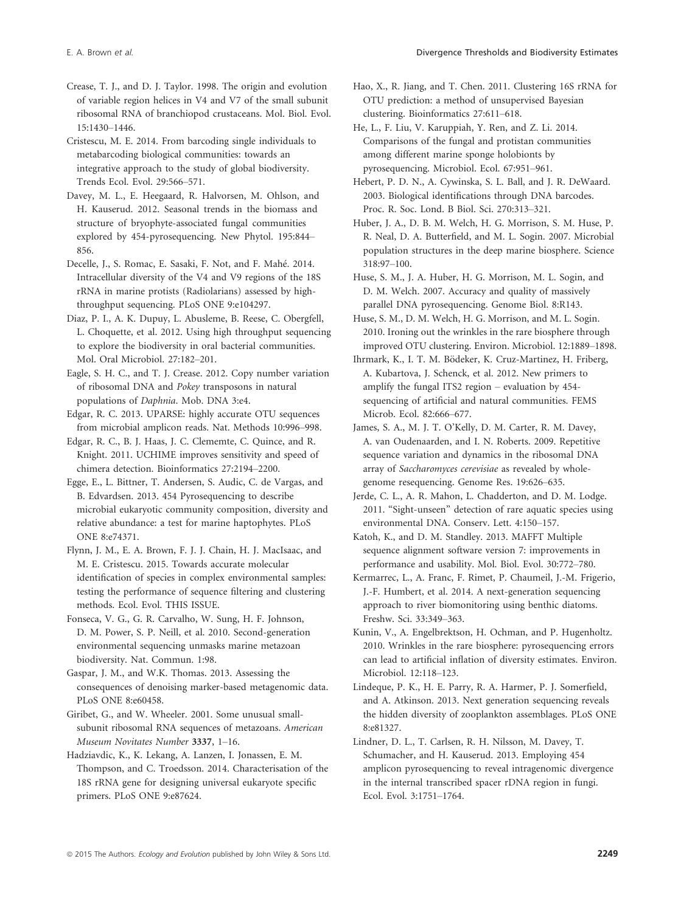Crease, T. J., and D. J. Taylor. 1998. The origin and evolution of variable region helices in V4 and V7 of the small subunit ribosomal RNA of branchiopod crustaceans. Mol. Biol. Evol. 15:1430–1446.

Cristescu, M. E. 2014. From barcoding single individuals to metabarcoding biological communities: towards an integrative approach to the study of global biodiversity. Trends Ecol. Evol. 29:566–571.

Davey, M. L., E. Heegaard, R. Halvorsen, M. Ohlson, and H. Kauserud. 2012. Seasonal trends in the biomass and structure of bryophyte-associated fungal communities explored by 454-pyrosequencing. New Phytol. 195:844– 856.

Decelle, J., S. Romac, E. Sasaki, F. Not, and F. Mahe. 2014. Intracellular diversity of the V4 and V9 regions of the 18S rRNA in marine protists (Radiolarians) assessed by highthroughput sequencing. PLoS ONE 9:e104297.

Diaz, P. I., A. K. Dupuy, L. Abusleme, B. Reese, C. Obergfell, L. Choquette, et al. 2012. Using high throughput sequencing to explore the biodiversity in oral bacterial communities. Mol. Oral Microbiol. 27:182–201.

Eagle, S. H. C., and T. J. Crease. 2012. Copy number variation of ribosomal DNA and Pokey transposons in natural populations of Daphnia. Mob. DNA 3:e4.

Edgar, R. C. 2013. UPARSE: highly accurate OTU sequences from microbial amplicon reads. Nat. Methods 10:996–998.

Edgar, R. C., B. J. Haas, J. C. Clememte, C. Quince, and R. Knight. 2011. UCHIME improves sensitivity and speed of chimera detection. Bioinformatics 27:2194–2200.

Egge, E., L. Bittner, T. Andersen, S. Audic, C. de Vargas, and B. Edvardsen. 2013. 454 Pyrosequencing to describe microbial eukaryotic community composition, diversity and relative abundance: a test for marine haptophytes. PLoS ONE 8:e74371.

Flynn, J. M., E. A. Brown, F. J. J. Chain, H. J. MacIsaac, and M. E. Cristescu. 2015. Towards accurate molecular identification of species in complex environmental samples: testing the performance of sequence filtering and clustering methods. Ecol. Evol. THIS ISSUE.

Fonseca, V. G., G. R. Carvalho, W. Sung, H. F. Johnson, D. M. Power, S. P. Neill, et al. 2010. Second-generation environmental sequencing unmasks marine metazoan biodiversity. Nat. Commun. 1:98.

Gaspar, J. M., and W.K. Thomas. 2013. Assessing the consequences of denoising marker-based metagenomic data. PLoS ONE 8:e60458.

Giribet, G., and W. Wheeler. 2001. Some unusual smallsubunit ribosomal RNA sequences of metazoans. American Museum Novitates Number 3337, 1–16.

Hadziavdic, K., K. Lekang, A. Lanzen, I. Jonassen, E. M. Thompson, and C. Troedsson. 2014. Characterisation of the 18S rRNA gene for designing universal eukaryote specific primers. PLoS ONE 9:e87624.

Hao, X., R. Jiang, and T. Chen. 2011. Clustering 16S rRNA for OTU prediction: a method of unsupervised Bayesian clustering. Bioinformatics 27:611–618.

He, L., F. Liu, V. Karuppiah, Y. Ren, and Z. Li. 2014. Comparisons of the fungal and protistan communities among different marine sponge holobionts by pyrosequencing. Microbiol. Ecol. 67:951–961.

Hebert, P. D. N., A. Cywinska, S. L. Ball, and J. R. DeWaard. 2003. Biological identifications through DNA barcodes. Proc. R. Soc. Lond. B Biol. Sci. 270:313–321.

Huber, J. A., D. B. M. Welch, H. G. Morrison, S. M. Huse, P. R. Neal, D. A. Butterfield, and M. L. Sogin. 2007. Microbial population structures in the deep marine biosphere. Science 318:97–100.

Huse, S. M., J. A. Huber, H. G. Morrison, M. L. Sogin, and D. M. Welch. 2007. Accuracy and quality of massively parallel DNA pyrosequencing. Genome Biol. 8:R143.

Huse, S. M., D. M. Welch, H. G. Morrison, and M. L. Sogin. 2010. Ironing out the wrinkles in the rare biosphere through improved OTU clustering. Environ. Microbiol. 12:1889–1898.

Ihrmark, K., I. T. M. Bödeker, K. Cruz-Martinez, H. Friberg, A. Kubartova, J. Schenck, et al. 2012. New primers to amplify the fungal ITS2 region – evaluation by 454 sequencing of artificial and natural communities. FEMS Microb. Ecol. 82:666–677.

James, S. A., M. J. T. O'Kelly, D. M. Carter, R. M. Davey, A. van Oudenaarden, and I. N. Roberts. 2009. Repetitive sequence variation and dynamics in the ribosomal DNA array of Saccharomyces cerevisiae as revealed by wholegenome resequencing. Genome Res. 19:626–635.

Jerde, C. L., A. R. Mahon, L. Chadderton, and D. M. Lodge. 2011. "Sight-unseen" detection of rare aquatic species using environmental DNA. Conserv. Lett. 4:150–157.

Katoh, K., and D. M. Standley. 2013. MAFFT Multiple sequence alignment software version 7: improvements in performance and usability. Mol. Biol. Evol. 30:772–780.

Kermarrec, L., A. Franc, F. Rimet, P. Chaumeil, J.-M. Frigerio, J.-F. Humbert, et al. 2014. A next-generation sequencing approach to river biomonitoring using benthic diatoms. Freshw. Sci. 33:349–363.

Kunin, V., A. Engelbrektson, H. Ochman, and P. Hugenholtz. 2010. Wrinkles in the rare biosphere: pyrosequencing errors can lead to artificial inflation of diversity estimates. Environ. Microbiol. 12:118–123.

Lindeque, P. K., H. E. Parry, R. A. Harmer, P. J. Somerfield, and A. Atkinson. 2013. Next generation sequencing reveals the hidden diversity of zooplankton assemblages. PLoS ONE 8:e81327.

Lindner, D. L., T. Carlsen, R. H. Nilsson, M. Davey, T. Schumacher, and H. Kauserud. 2013. Employing 454 amplicon pyrosequencing to reveal intragenomic divergence in the internal transcribed spacer rDNA region in fungi. Ecol. Evol. 3:1751–1764.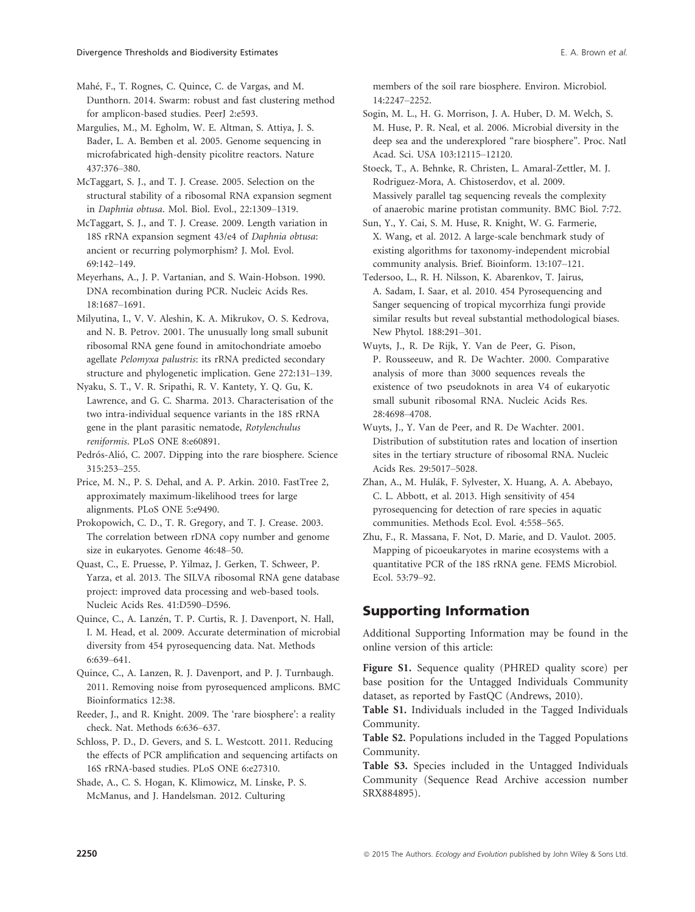Mahe, F., T. Rognes, C. Quince, C. de Vargas, and M. Dunthorn. 2014. Swarm: robust and fast clustering method for amplicon-based studies. PeerJ 2:e593.

Margulies, M., M. Egholm, W. E. Altman, S. Attiya, J. S. Bader, L. A. Bemben et al. 2005. Genome sequencing in microfabricated high-density picolitre reactors. Nature 437:376–380.

McTaggart, S. J., and T. J. Crease. 2005. Selection on the structural stability of a ribosomal RNA expansion segment in Daphnia obtusa. Mol. Biol. Evol., 22:1309–1319.

McTaggart, S. J., and T. J. Crease. 2009. Length variation in 18S rRNA expansion segment 43/e4 of Daphnia obtusa: ancient or recurring polymorphism? J. Mol. Evol. 69:142–149.

Meyerhans, A., J. P. Vartanian, and S. Wain-Hobson. 1990. DNA recombination during PCR. Nucleic Acids Res. 18:1687–1691.

Milyutina, I., V. V. Aleshin, K. A. Mikrukov, O. S. Kedrova, and N. B. Petrov. 2001. The unusually long small subunit ribosomal RNA gene found in amitochondriate amoebo agellate Pelomyxa palustris: its rRNA predicted secondary structure and phylogenetic implication. Gene 272:131–139.

Nyaku, S. T., V. R. Sripathi, R. V. Kantety, Y. Q. Gu, K. Lawrence, and G. C. Sharma. 2013. Characterisation of the two intra-individual sequence variants in the 18S rRNA gene in the plant parasitic nematode, Rotylenchulus reniformis. PLoS ONE 8:e60891.

Pedrós-Alió, C. 2007. Dipping into the rare biosphere. Science 315:253–255.

Price, M. N., P. S. Dehal, and A. P. Arkin. 2010. FastTree 2, approximately maximum-likelihood trees for large alignments. PLoS ONE 5:e9490.

Prokopowich, C. D., T. R. Gregory, and T. J. Crease. 2003. The correlation between rDNA copy number and genome size in eukaryotes. Genome 46:48–50.

Quast, C., E. Pruesse, P. Yilmaz, J. Gerken, T. Schweer, P. Yarza, et al. 2013. The SILVA ribosomal RNA gene database project: improved data processing and web-based tools. Nucleic Acids Res. 41:D590–D596.

Quince, C., A. Lanzén, T. P. Curtis, R. J. Davenport, N. Hall, I. M. Head, et al. 2009. Accurate determination of microbial diversity from 454 pyrosequencing data. Nat. Methods 6:639–641.

Quince, C., A. Lanzen, R. J. Davenport, and P. J. Turnbaugh. 2011. Removing noise from pyrosequenced amplicons. BMC Bioinformatics 12:38.

Reeder, J., and R. Knight. 2009. The 'rare biosphere': a reality check. Nat. Methods 6:636–637.

Schloss, P. D., D. Gevers, and S. L. Westcott. 2011. Reducing the effects of PCR amplification and sequencing artifacts on 16S rRNA-based studies. PLoS ONE 6:e27310.

Shade, A., C. S. Hogan, K. Klimowicz, M. Linske, P. S. McManus, and J. Handelsman. 2012. Culturing

members of the soil rare biosphere. Environ. Microbiol. 14:2247–2252.

Sogin, M. L., H. G. Morrison, J. A. Huber, D. M. Welch, S. M. Huse, P. R. Neal, et al. 2006. Microbial diversity in the deep sea and the underexplored "rare biosphere". Proc. Natl Acad. Sci. USA 103:12115–12120.

Stoeck, T., A. Behnke, R. Christen, L. Amaral-Zettler, M. J. Rodriguez-Mora, A. Chistoserdov, et al. 2009. Massively parallel tag sequencing reveals the complexity of anaerobic marine protistan community. BMC Biol. 7:72.

Sun, Y., Y. Cai, S. M. Huse, R. Knight, W. G. Farmerie, X. Wang, et al. 2012. A large-scale benchmark study of existing algorithms for taxonomy-independent microbial community analysis. Brief. Bioinform. 13:107–121.

Tedersoo, L., R. H. Nilsson, K. Abarenkov, T. Jairus, A. Sadam, I. Saar, et al. 2010. 454 Pyrosequencing and Sanger sequencing of tropical mycorrhiza fungi provide similar results but reveal substantial methodological biases. New Phytol. 188:291–301.

Wuyts, J., R. De Rijk, Y. Van de Peer, G. Pison, P. Rousseeuw, and R. De Wachter. 2000. Comparative analysis of more than 3000 sequences reveals the existence of two pseudoknots in area V4 of eukaryotic small subunit ribosomal RNA. Nucleic Acids Res. 28:4698–4708.

Wuyts, J., Y. Van de Peer, and R. De Wachter. 2001. Distribution of substitution rates and location of insertion sites in the tertiary structure of ribosomal RNA. Nucleic Acids Res. 29:5017–5028.

Zhan, A., M. Hulák, F. Sylvester, X. Huang, A. A. Abebayo, C. L. Abbott, et al. 2013. High sensitivity of 454 pyrosequencing for detection of rare species in aquatic communities. Methods Ecol. Evol. 4:558–565.

Zhu, F., R. Massana, F. Not, D. Marie, and D. Vaulot. 2005. Mapping of picoeukaryotes in marine ecosystems with a quantitative PCR of the 18S rRNA gene. FEMS Microbiol. Ecol. 53:79–92.

## Supporting Information

Additional Supporting Information may be found in the online version of this article:

Figure S1. Sequence quality (PHRED quality score) per base position for the Untagged Individuals Community dataset, as reported by FastQC (Andrews, 2010).

Table S1. Individuals included in the Tagged Individuals Community.

Table S2. Populations included in the Tagged Populations Community.

Table S3. Species included in the Untagged Individuals Community (Sequence Read Archive accession number SRX884895).